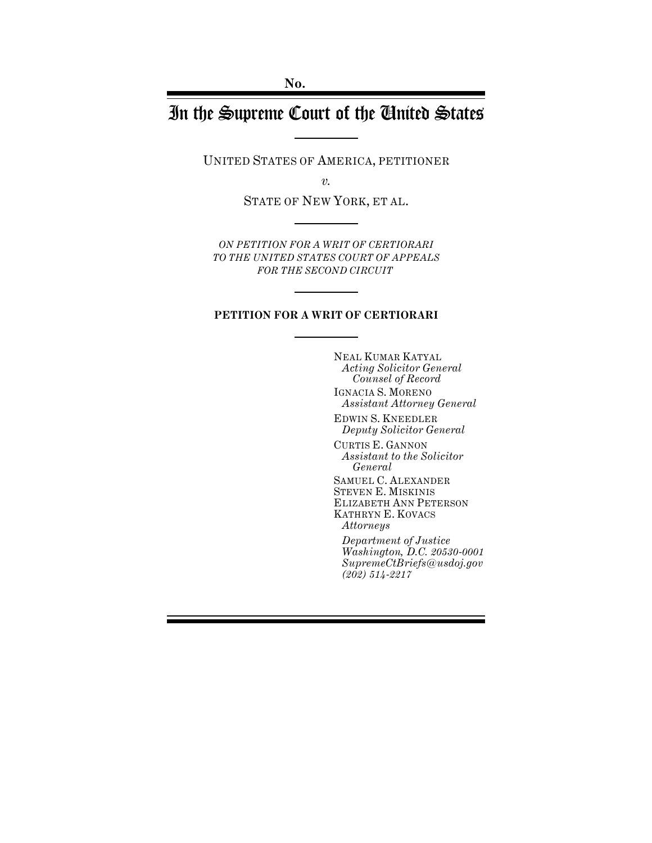# In the Supreme Court of the United States

UNITED STATES OF AMERICA, PETITIONER

*v.*

STATE OF NEW YORK, ET AL.

*ON PETITION FOR A WRIT OF CERTIORARI TO THE UNITED STATES COURT OF APPEALS FOR THE SECOND CIRCUIT* 

#### **PETITION FOR A WRIT OF CERTIORARI**

NEAL KUMAR KATYAL *Acting Solicitor General Counsel of Record* IGNACIA S. MORENO *Assistant Attorney General* 

EDWIN S. KNEEDLER *Deputy Solicitor General*

CURTIS E. GANNON *Assistant to the Solicitor General*

SAMUEL C. ALEXANDER STEVEN E. MISKINIS ELIZABETH ANN PETERSON KATHRYN E. KOVACS *Attorneys* 

*Department of Justice Washington, D.C. 20530-0001 SupremeCtBriefs@usdoj.gov (202) 514-2217*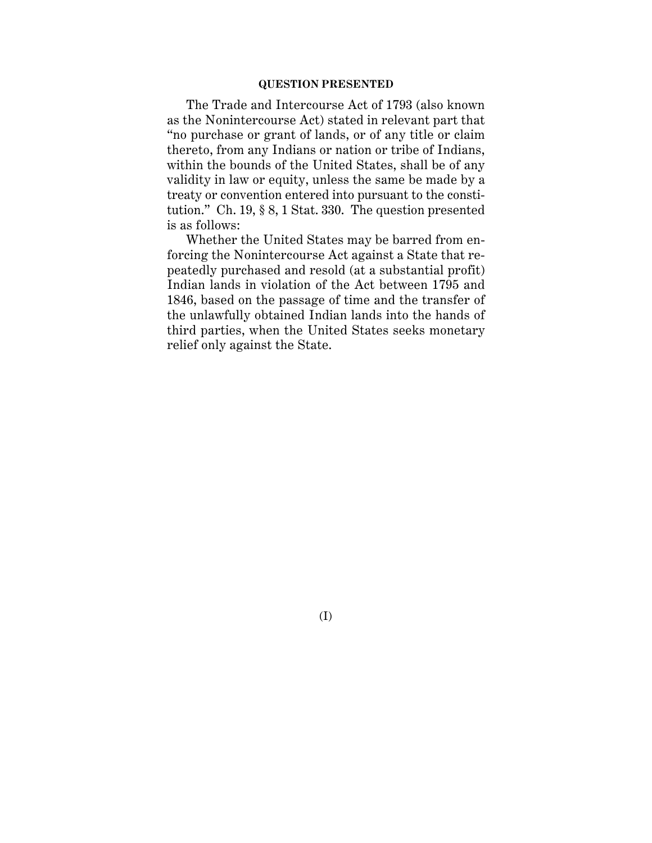#### **QUESTION PRESENTED**

The Trade and Intercourse Act of 1793 (also known as the Nonintercourse Act) stated in relevant part that "no purchase or grant of lands, or of any title or claim thereto, from any Indians or nation or tribe of Indians, within the bounds of the United States, shall be of any validity in law or equity, unless the same be made by a treaty or convention entered into pursuant to the constitution." Ch. 19, § 8, 1 Stat. 330. The question presented is as follows:

Whether the United States may be barred from enforcing the Nonintercourse Act against a State that repeatedly purchased and resold (at a substantial profit) Indian lands in violation of the Act between 1795 and 1846, based on the passage of time and the transfer of the unlawfully obtained Indian lands into the hands of third parties, when the United States seeks monetary relief only against the State.

(I)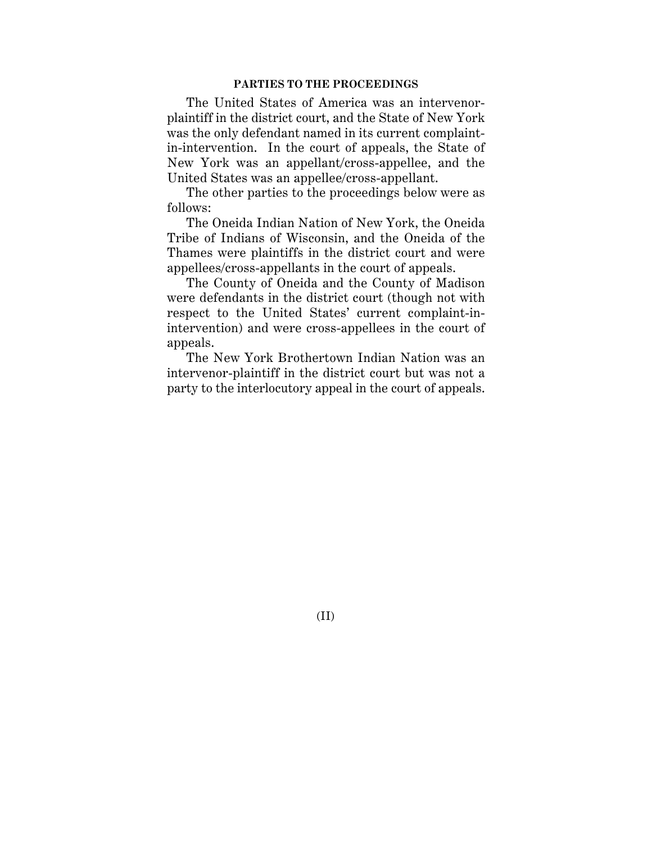#### **PARTIES TO THE PROCEEDINGS**

The United States of America was an intervenorplaintiff in the district court, and the State of New York was the only defendant named in its current complaintin-intervention. In the court of appeals, the State of New York was an appellant/cross-appellee, and the United States was an appellee/cross-appellant.

The other parties to the proceedings below were as follows:

The Oneida Indian Nation of New York, the Oneida Tribe of Indians of Wisconsin, and the Oneida of the Thames were plaintiffs in the district court and were appellees/cross-appellants in the court of appeals.

The County of Oneida and the County of Madison were defendants in the district court (though not with respect to the United States' current complaint-inintervention) and were cross-appellees in the court of appeals.

The New York Brothertown Indian Nation was an intervenor-plaintiff in the district court but was not a party to the interlocutory appeal in the court of appeals.

(II)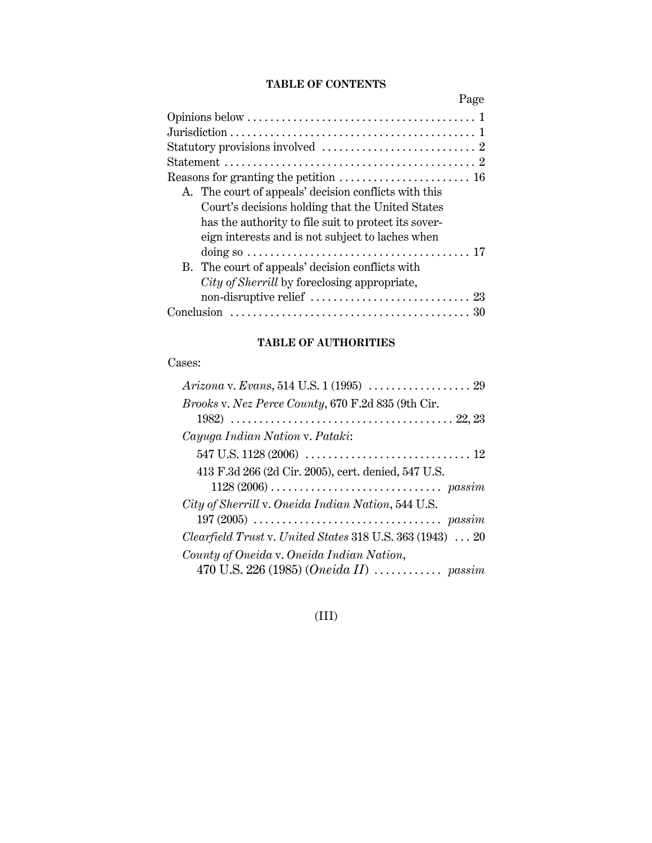## **TABLE OF CONTENTS**

| Page                                                  |  |
|-------------------------------------------------------|--|
|                                                       |  |
|                                                       |  |
|                                                       |  |
|                                                       |  |
|                                                       |  |
| A. The court of appeals' decision conflicts with this |  |
| Court's decisions holding that the United States      |  |
| has the authority to file suit to protect its sover-  |  |
| eign interests and is not subject to laches when      |  |
|                                                       |  |
| B. The court of appeals' decision conflicts with      |  |
| City of Sherrill by foreclosing appropriate,          |  |
|                                                       |  |
|                                                       |  |

## **TABLE OF AUTHORITIES**

Cases:

| Brooks v. Nez Perce County, 670 F.2d 835 (9th Cir.                           |
|------------------------------------------------------------------------------|
|                                                                              |
| Cayuga Indian Nation v. Pataki:                                              |
|                                                                              |
| 413 F.3d 266 (2d Cir. 2005), cert. denied, 547 U.S.                          |
|                                                                              |
| City of Sherrill v. Oneida Indian Nation, 544 U.S.                           |
|                                                                              |
| <i>Clearfield Trust v. United States</i> $318$ U.S. $363$ (1943) $\ldots$ 20 |
| County of Oneida v. Oneida Indian Nation,                                    |
| 470 U.S. 226 (1985) (Oneida II)  passim                                      |

## (III)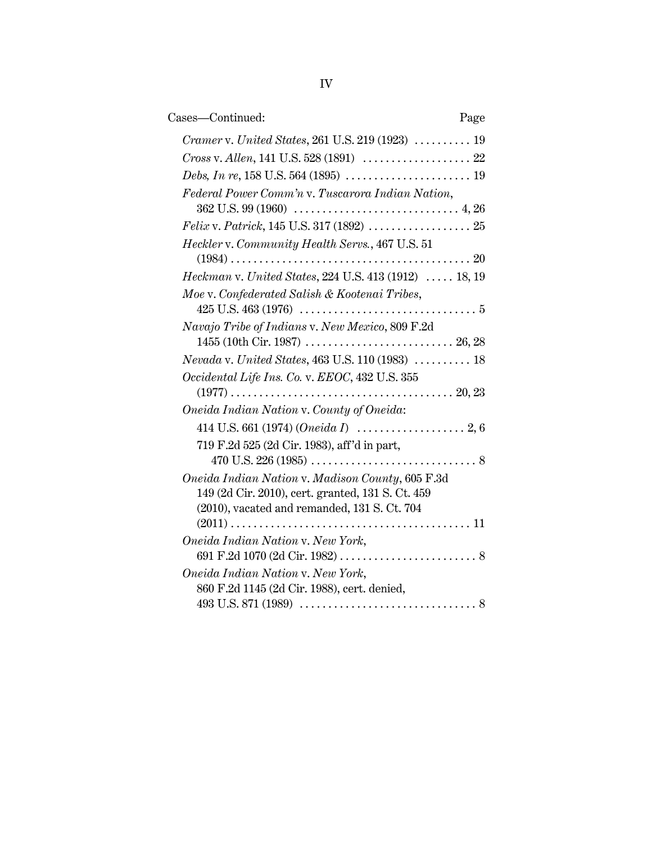| Cases—Continued:<br>Page                                       |  |
|----------------------------------------------------------------|--|
| Cramer v. United States, 261 U.S. 219 (1923)  19               |  |
| Cross v. Allen, 141 U.S. 528 (1891)  22                        |  |
|                                                                |  |
| Federal Power Comm'n v. Tuscarora Indian Nation,               |  |
|                                                                |  |
|                                                                |  |
| Heckler v. Community Health Servs., 467 U.S. 51                |  |
| Heckman v. United States, 224 U.S. 413 (1912)  18, 19          |  |
|                                                                |  |
| Moe v. Confederated Salish & Kootenai Tribes,                  |  |
| Navajo Tribe of Indians v. New Mexico, 809 F.2d                |  |
|                                                                |  |
| $\it Nevada$ v. United States, 463 U.S. 110 (1983) $\ldots$ 18 |  |
| Occidental Life Ins. Co. v. EEOC, 432 U.S. 355                 |  |
|                                                                |  |
| Oneida Indian Nation v. County of Oneida:                      |  |
|                                                                |  |
| 719 F.2d 525 (2d Cir. 1983), aff'd in part,                    |  |
|                                                                |  |
| Oneida Indian Nation v. Madison County, 605 F.3d               |  |
| 149 (2d Cir. 2010), cert. granted, 131 S. Ct. 459              |  |
| (2010), vacated and remanded, 131 S. Ct. 704                   |  |
|                                                                |  |
| Oneida Indian Nation v. New York,                              |  |
|                                                                |  |
| Oneida Indian Nation v. New York,                              |  |
| 860 F.2d 1145 (2d Cir. 1988), cert. denied,                    |  |
|                                                                |  |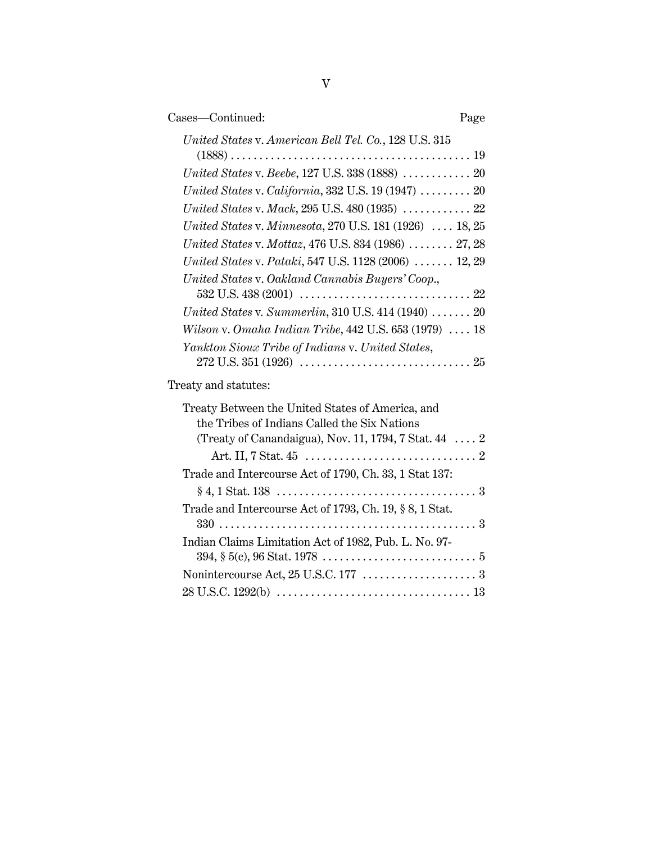| Cases—Continued:                                                                                                                                             | Page |
|--------------------------------------------------------------------------------------------------------------------------------------------------------------|------|
| United States v. American Bell Tel. Co., 128 U.S. 315                                                                                                        |      |
| United States v. Beebe, 127 U.S. 338 (1888)  20                                                                                                              |      |
| United States v. California, 332 U.S. 19 (1947) $\ldots \ldots \ldots$ 20                                                                                    |      |
|                                                                                                                                                              |      |
| United States v. Minnesota, 270 U.S. 181 (1926)  18, 25                                                                                                      |      |
| United States v. Mottaz, 476 U.S. 834 (1986)  27, 28                                                                                                         |      |
| United States v. Pataki, 547 U.S. 1128 (2006)  12, 29                                                                                                        |      |
| United States v. Oakland Cannabis Buyers' Coop.,                                                                                                             |      |
| United States v. Summerlin, 310 U.S. 414 (1940)  20                                                                                                          |      |
| Wilson v. Omaha Indian Tribe, 442 U.S. 653 (1979)  18                                                                                                        |      |
| Yankton Sioux Tribe of Indians v. United States,                                                                                                             |      |
| Treaty and statutes:                                                                                                                                         |      |
| Treaty Between the United States of America, and<br>the Tribes of Indians Called the Six Nations<br>(Treaty of Canandaigua), Nov. 11, 1794, 7 Stat. $44$ $2$ |      |
| Trade and Intercourse Act of 1790, Ch. 33, 1 Stat 137:                                                                                                       |      |
|                                                                                                                                                              |      |
| Trade and Intercourse Act of 1793, Ch. 19, § 8, 1 Stat.                                                                                                      |      |
| Indian Claims Limitation Act of 1982, Pub. L. No. 97-                                                                                                        |      |
|                                                                                                                                                              |      |
|                                                                                                                                                              |      |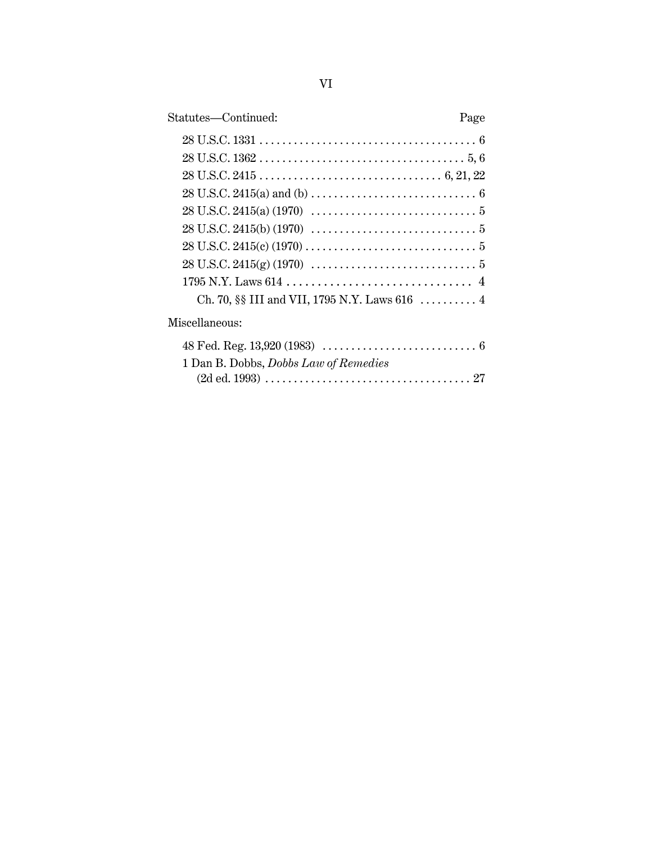| Statutes—Continued: | Page |
|---------------------|------|
|                     |      |
|                     |      |
|                     |      |
|                     |      |
|                     |      |
|                     |      |
|                     |      |
|                     |      |
|                     |      |
|                     |      |
|                     |      |

## Miscellaneous:

| 1 Dan B. Dobbs, <i>Dobbs Law of Remedies</i> |
|----------------------------------------------|
|                                              |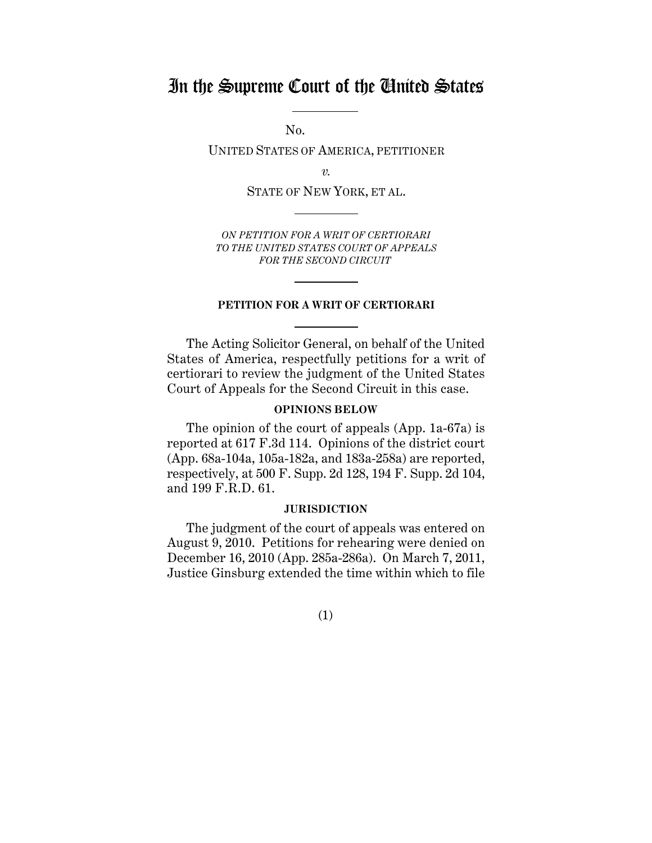## In the Supreme Court of the United States

No.

UNITED STATES OF AMERICA, PETITIONER

*v.*

STATE OF NEW YORK, ET AL.

*ON PETITION FOR A WRIT OF CERTIORARI TO THE UNITED STATES COURT OF APPEALS FOR THE SECOND CIRCUIT* 

#### **PETITION FOR A WRIT OF CERTIORARI**

The Acting Solicitor General, on behalf of the United States of America, respectfully petitions for a writ of certiorari to review the judgment of the United States Court of Appeals for the Second Circuit in this case.

## **OPINIONS BELOW**

The opinion of the court of appeals (App. 1a-67a) is reported at 617 F.3d 114. Opinions of the district court (App. 68a-104a, 105a-182a, and 183a-258a) are reported, respectively, at 500 F. Supp. 2d 128, 194 F. Supp. 2d 104, and 199 F.R.D. 61.

#### **JURISDICTION**

The judgment of the court of appeals was entered on August 9, 2010. Petitions for rehearing were denied on December 16, 2010 (App. 285a-286a). On March 7, 2011, Justice Ginsburg extended the time within which to file

(1)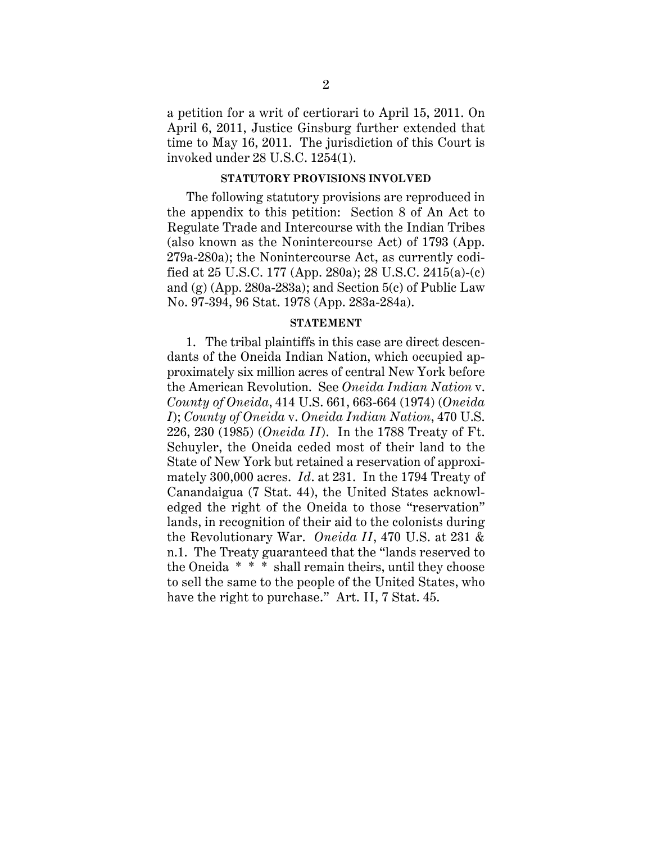a petition for a writ of certiorari to April 15, 2011. On April 6, 2011, Justice Ginsburg further extended that time to May 16, 2011. The jurisdiction of this Court is invoked under 28 U.S.C. 1254(1).

#### **STATUTORY PROVISIONS INVOLVED**

The following statutory provisions are reproduced in the appendix to this petition: Section 8 of An Act to Regulate Trade and Intercourse with the Indian Tribes (also known as the Nonintercourse Act) of 1793 (App. 279a-280a); the Nonintercourse Act, as currently codified at 25 U.S.C. 177 (App. 280a); 28 U.S.C. 2415(a)-(c) and  $(g)$  (App. 280a-283a); and Section  $5(c)$  of Public Law No. 97-394, 96 Stat. 1978 (App. 283a-284a).

#### **STATEMENT**

1. The tribal plaintiffs in this case are direct descendants of the Oneida Indian Nation, which occupied approximately six million acres of central New York before the American Revolution. See *Oneida Indian Nation* v. *County of Oneida*, 414 U.S. 661, 663-664 (1974) (*Oneida I*); *County of Oneida* v. *Oneida Indian Nation*, 470 U.S. 226, 230 (1985) (*Oneida II*). In the 1788 Treaty of Ft. Schuyler, the Oneida ceded most of their land to the State of New York but retained a reservation of approximately 300,000 acres. *Id*. at 231. In the 1794 Treaty of Canandaigua (7 Stat. 44), the United States acknowledged the right of the Oneida to those "reservation" lands, in recognition of their aid to the colonists during the Revolutionary War. *Oneida II*, 470 U.S. at 231 & n.1. The Treaty guaranteed that the "lands reserved to the Oneida \* \* \* shall remain theirs, until they choose to sell the same to the people of the United States, who have the right to purchase." Art. II, 7 Stat. 45.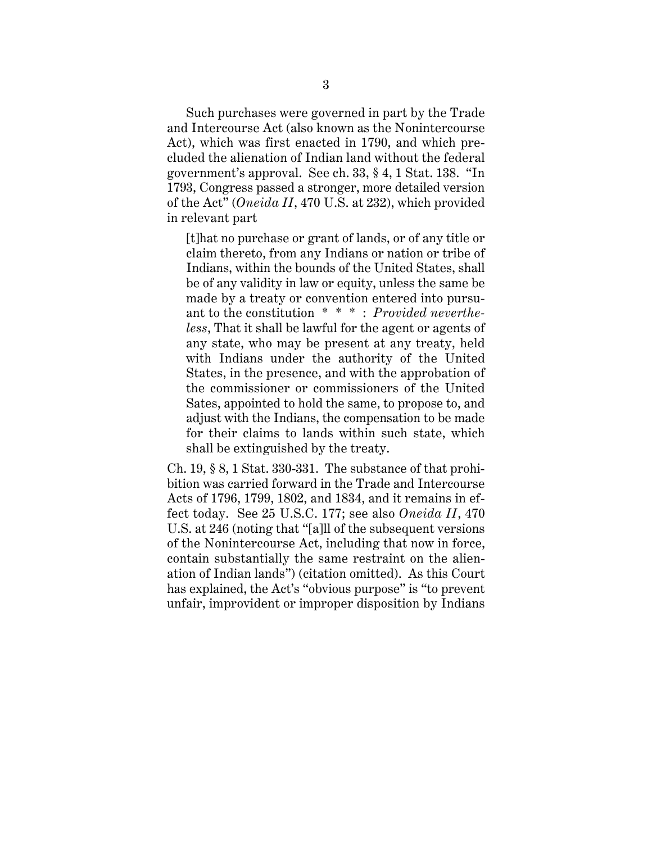Such purchases were governed in part by the Trade and Intercourse Act (also known as the Nonintercourse Act), which was first enacted in 1790, and which precluded the alienation of Indian land without the federal government's approval. See ch. 33, § 4, 1 Stat. 138. "In 1793, Congress passed a stronger, more detailed version of the Act" (*Oneida II*, 470 U.S. at 232), which provided in relevant part

[t]hat no purchase or grant of lands, or of any title or claim thereto, from any Indians or nation or tribe of Indians, within the bounds of the United States, shall be of any validity in law or equity, unless the same be made by a treaty or convention entered into pursuant to the constitution \* \* \* : *Provided nevertheless*, That it shall be lawful for the agent or agents of any state, who may be present at any treaty, held with Indians under the authority of the United States, in the presence, and with the approbation of the commissioner or commissioners of the United Sates, appointed to hold the same, to propose to, and adjust with the Indians, the compensation to be made for their claims to lands within such state, which shall be extinguished by the treaty.

Ch.  $19, § 8, 1$  Stat. 330-331. The substance of that prohibition was carried forward in the Trade and Intercourse Acts of 1796, 1799, 1802, and 1834, and it remains in effect today. See 25 U.S.C. 177; see also *Oneida II*, 470 U.S. at 246 (noting that "[a]ll of the subsequent versions of the Nonintercourse Act, including that now in force, contain substantially the same restraint on the alienation of Indian lands") (citation omitted). As this Court has explained, the Act's "obvious purpose" is "to prevent unfair, improvident or improper disposition by Indians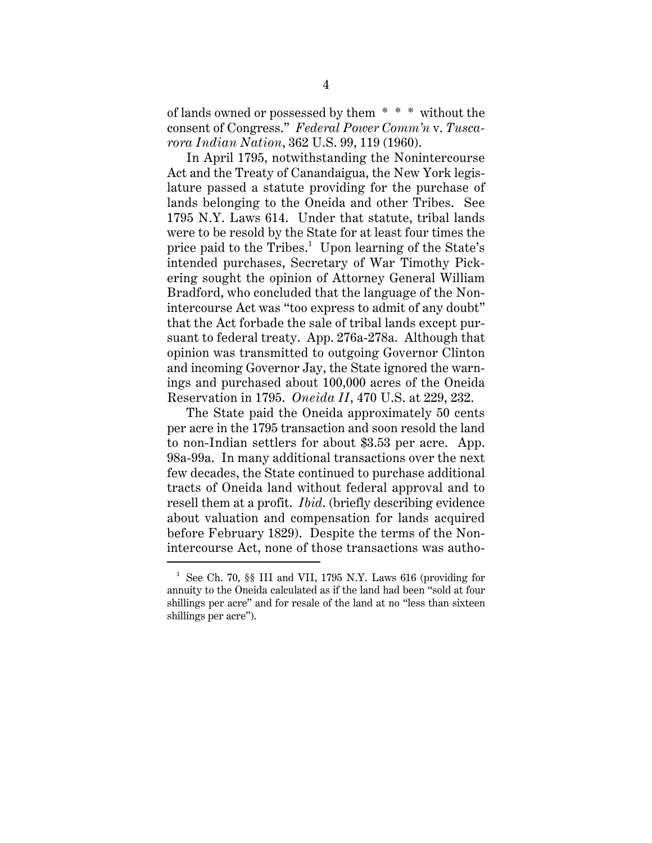of lands owned or possessed by them \* \* \* without the consent of Congress." *Federal Power Comm'n* v. *Tuscarora Indian Nation*, 362 U.S. 99, 119 (1960).

In April 1795, notwithstanding the Nonintercourse Act and the Treaty of Canandaigua, the New York legislature passed a statute providing for the purchase of lands belonging to the Oneida and other Tribes. See 1795 N.Y. Laws 614. Under that statute, tribal lands were to be resold by the State for at least four times the price paid to the Tribes.<sup>1</sup> Upon learning of the State's intended purchases, Secretary of War Timothy Pickering sought the opinion of Attorney General William Bradford, who concluded that the language of the Nonintercourse Act was "too express to admit of any doubt" that the Act forbade the sale of tribal lands except pursuant to federal treaty. App. 276a-278a. Although that opinion was transmitted to outgoing Governor Clinton and incoming Governor Jay, the State ignored the warnings and purchased about 100,000 acres of the Oneida Reservation in 1795. *Oneida II*, 470 U.S. at 229, 232.

The State paid the Oneida approximately 50 cents per acre in the 1795 transaction and soon resold the land to non-Indian settlers for about \$3.53 per acre. App. 98a-99a. In many additional transactions over the next few decades, the State continued to purchase additional tracts of Oneida land without federal approval and to resell them at a profit. *Ibid*. (briefly describing evidence about valuation and compensation for lands acquired before February 1829). Despite the terms of the Nonintercourse Act, none of those transactions was autho-

<sup>&</sup>lt;sup>1</sup> See Ch. 70, §§ III and VII, 1795 N.Y. Laws 616 (providing for annuity to the Oneida calculated as if the land had been "sold at four shillings per acre" and for resale of the land at no "less than sixteen shillings per acre").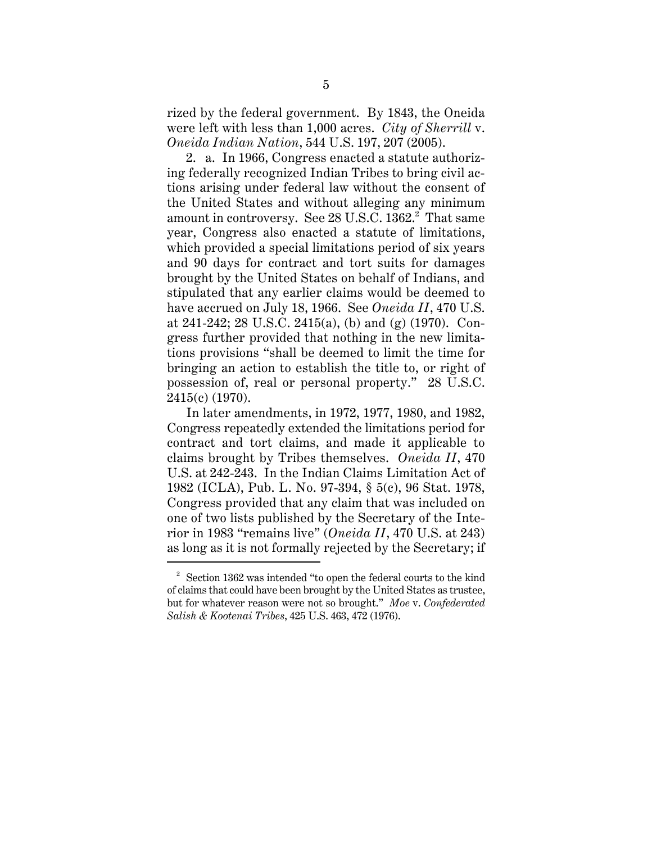rized by the federal government. By 1843, the Oneida were left with less than 1,000 acres. *City of Sherrill* v. *Oneida Indian Nation*, 544 U.S. 197, 207 (2005).

2. a. In 1966, Congress enacted a statute authorizing federally recognized Indian Tribes to bring civil actions arising under federal law without the consent of the United States and without alleging any minimum amount in controversy. See 28 U.S.C.  $1362.^\text{2}$  That same year, Congress also enacted a statute of limitations, which provided a special limitations period of six years and 90 days for contract and tort suits for damages brought by the United States on behalf of Indians, and stipulated that any earlier claims would be deemed to have accrued on July 18, 1966. See *Oneida II*, 470 U.S. at 241-242; 28 U.S.C. 2415(a), (b) and (g) (1970). Congress further provided that nothing in the new limitations provisions "shall be deemed to limit the time for bringing an action to establish the title to, or right of possession of, real or personal property." 28 U.S.C. 2415(c) (1970).

In later amendments, in 1972, 1977, 1980, and 1982, Congress repeatedly extended the limitations period for contract and tort claims, and made it applicable to claims brought by Tribes themselves. *Oneida II*, 470 U.S. at 242-243. In the Indian Claims Limitation Act of 1982 (ICLA), Pub. L. No. 97-394, § 5(c), 96 Stat. 1978, Congress provided that any claim that was included on one of two lists published by the Secretary of the Interior in 1983 "remains live" (*Oneida II*, 470 U.S. at 243) as long as it is not formally rejected by the Secretary; if

 $2^2$  Section 1362 was intended "to open the federal courts to the kind" of claims that could have been brought by the United States as trustee, but for whatever reason were not so brought." *Moe* v. *Confederated Salish & Kootenai Tribes*, 425 U.S. 463, 472 (1976).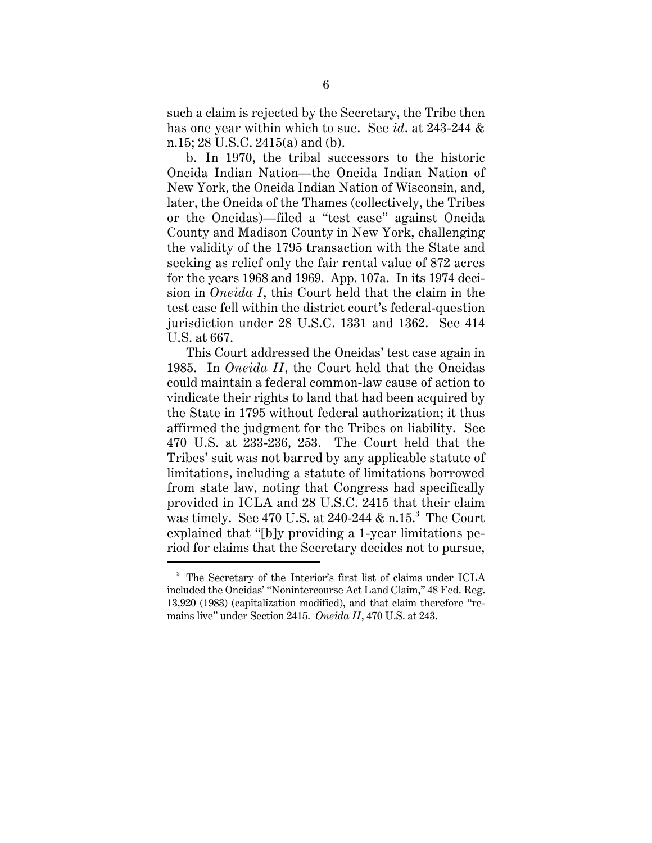such a claim is rejected by the Secretary, the Tribe then has one year within which to sue. See *id*. at 243-244 & n.15; 28 U.S.C. 2415(a) and (b).

b. In 1970, the tribal successors to the historic Oneida Indian Nation—the Oneida Indian Nation of New York, the Oneida Indian Nation of Wisconsin, and, later, the Oneida of the Thames (collectively, the Tribes or the Oneidas)—filed a "test case" against Oneida County and Madison County in New York, challenging the validity of the 1795 transaction with the State and seeking as relief only the fair rental value of 872 acres for the years 1968 and 1969. App. 107a. In its 1974 decision in *Oneida I*, this Court held that the claim in the test case fell within the district court's federal-question jurisdiction under 28 U.S.C. 1331 and 1362. See 414 U.S. at 667.

This Court addressed the Oneidas' test case again in 1985. In *Oneida II*, the Court held that the Oneidas could maintain a federal common-law cause of action to vindicate their rights to land that had been acquired by the State in 1795 without federal authorization; it thus affirmed the judgment for the Tribes on liability. See 470 U.S. at 233-236, 253. The Court held that the Tribes' suit was not barred by any applicable statute of limitations, including a statute of limitations borrowed from state law, noting that Congress had specifically provided in ICLA and 28 U.S.C. 2415 that their claim was timely. See 470 U.S. at 240-244 & n.15.<sup>3</sup> The Court explained that "[b]y providing a 1-year limitations period for claims that the Secretary decides not to pursue,

<sup>3</sup> The Secretary of the Interior's first list of claims under ICLA included the Oneidas' "Nonintercourse Act Land Claim," 48 Fed. Reg. 13,920 (1983) (capitalization modified), and that claim therefore "remains live" under Section 2415. *Oneida II*, 470 U.S. at 243.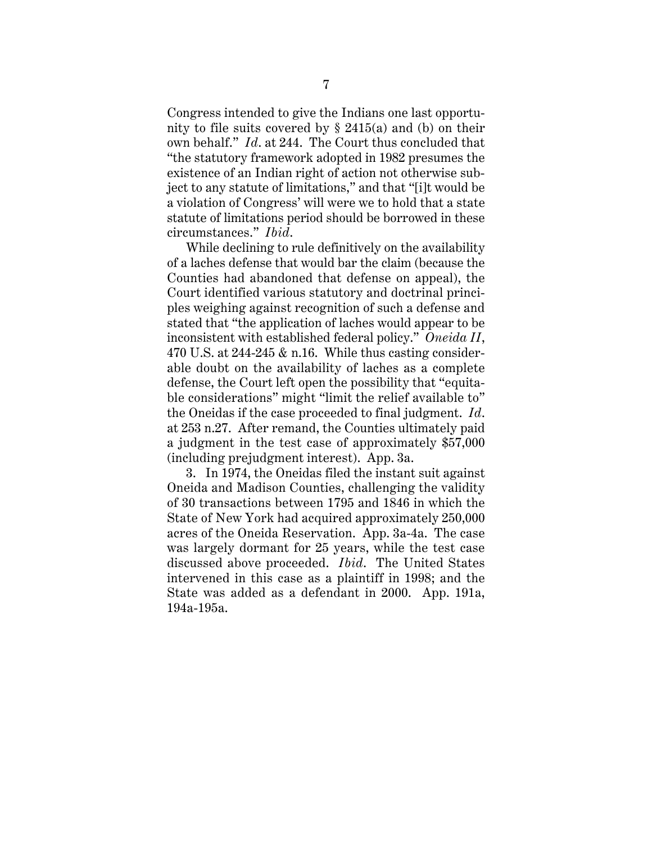Congress intended to give the Indians one last opportunity to file suits covered by  $\S$  2415(a) and (b) on their own behalf." *Id*. at 244. The Court thus concluded that "the statutory framework adopted in 1982 presumes the existence of an Indian right of action not otherwise subject to any statute of limitations," and that "[i]t would be a violation of Congress' will were we to hold that a state statute of limitations period should be borrowed in these circumstances." *Ibid*.

While declining to rule definitively on the availability of a laches defense that would bar the claim (because the Counties had abandoned that defense on appeal), the Court identified various statutory and doctrinal principles weighing against recognition of such a defense and stated that "the application of laches would appear to be inconsistent with established federal policy." *Oneida II*, 470 U.S. at 244-245 & n.16. While thus casting considerable doubt on the availability of laches as a complete defense, the Court left open the possibility that "equitable considerations" might "limit the relief available to" the Oneidas if the case proceeded to final judgment. *Id*. at 253 n.27. After remand, the Counties ultimately paid a judgment in the test case of approximately \$57,000 (including prejudgment interest). App. 3a.

3. In 1974, the Oneidas filed the instant suit against Oneida and Madison Counties, challenging the validity of 30 transactions between 1795 and 1846 in which the State of New York had acquired approximately 250,000 acres of the Oneida Reservation. App. 3a-4a. The case was largely dormant for 25 years, while the test case discussed above proceeded. *Ibid*. The United States intervened in this case as a plaintiff in 1998; and the State was added as a defendant in 2000. App. 191a, 194a-195a.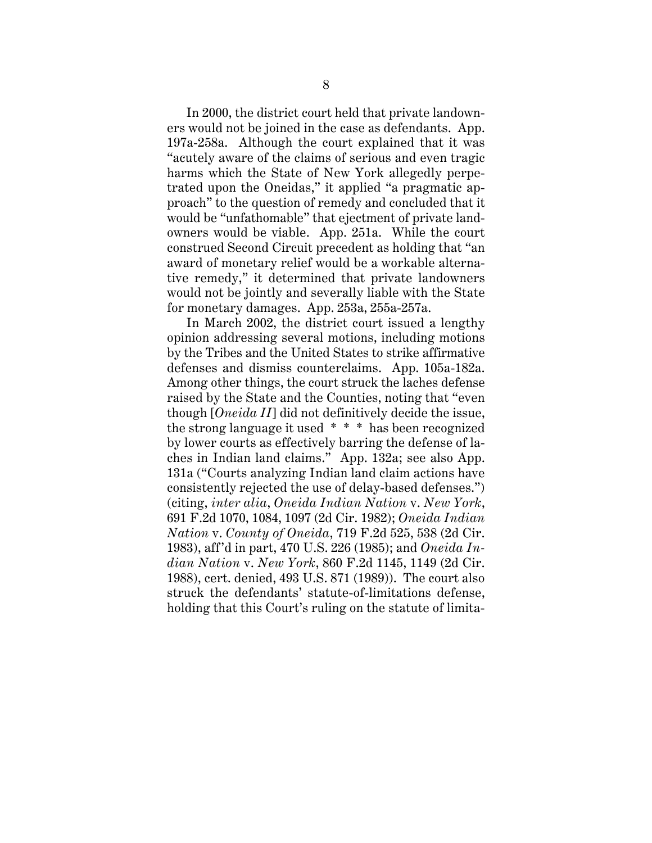In 2000, the district court held that private landowners would not be joined in the case as defendants. App. 197a-258a. Although the court explained that it was "acutely aware of the claims of serious and even tragic harms which the State of New York allegedly perpetrated upon the Oneidas," it applied "a pragmatic approach" to the question of remedy and concluded that it would be "unfathomable" that ejectment of private landowners would be viable. App. 251a. While the court construed Second Circuit precedent as holding that "an award of monetary relief would be a workable alternative remedy," it determined that private landowners would not be jointly and severally liable with the State for monetary damages. App. 253a, 255a-257a.

In March 2002, the district court issued a lengthy opinion addressing several motions, including motions by the Tribes and the United States to strike affirmative defenses and dismiss counterclaims. App. 105a-182a. Among other things, the court struck the laches defense raised by the State and the Counties, noting that "even though [*Oneida II*] did not definitively decide the issue, the strong language it used \* \* \* has been recognized by lower courts as effectively barring the defense of laches in Indian land claims." App. 132a; see also App. 131a ("Courts analyzing Indian land claim actions have consistently rejected the use of delay-based defenses.") (citing, *inter alia*, *Oneida Indian Nation* v. *New York*, 691 F.2d 1070, 1084, 1097 (2d Cir. 1982); *Oneida Indian Nation* v. *County of Oneida*, 719 F.2d 525, 538 (2d Cir. 1983), aff'd in part, 470 U.S. 226 (1985); and *Oneida Indian Nation* v. *New York*, 860 F.2d 1145, 1149 (2d Cir. 1988), cert. denied, 493 U.S. 871 (1989)). The court also struck the defendants' statute-of-limitations defense, holding that this Court's ruling on the statute of limita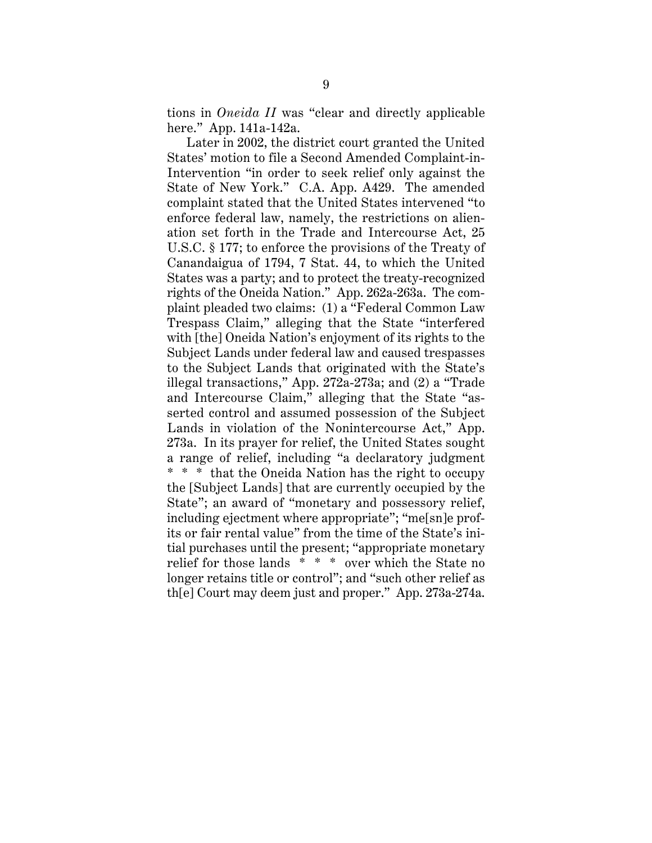tions in *Oneida II* was "clear and directly applicable here." App. 141a-142a.

Later in 2002, the district court granted the United States' motion to file a Second Amended Complaint-in-Intervention "in order to seek relief only against the State of New York." C.A. App. A429. The amended complaint stated that the United States intervened "to enforce federal law, namely, the restrictions on alienation set forth in the Trade and Intercourse Act, 25 U.S.C. § 177; to enforce the provisions of the Treaty of Canandaigua of 1794, 7 Stat. 44, to which the United States was a party; and to protect the treaty-recognized rights of the Oneida Nation." App. 262a-263a. The complaint pleaded two claims: (1) a "Federal Common Law Trespass Claim," alleging that the State "interfered with [the] Oneida Nation's enjoyment of its rights to the Subject Lands under federal law and caused trespasses to the Subject Lands that originated with the State's illegal transactions," App. 272a-273a; and (2) a "Trade and Intercourse Claim," alleging that the State "asserted control and assumed possession of the Subject Lands in violation of the Nonintercourse Act," App. 273a. In its prayer for relief, the United States sought a range of relief, including "a declaratory judgment \* \* \* that the Oneida Nation has the right to occupy the [Subject Lands] that are currently occupied by the State"; an award of "monetary and possessory relief, including ejectment where appropriate"; "me[sn]e profits or fair rental value" from the time of the State's initial purchases until the present; "appropriate monetary relief for those lands \* \* \* over which the State no longer retains title or control"; and "such other relief as th[e] Court may deem just and proper." App. 273a-274a.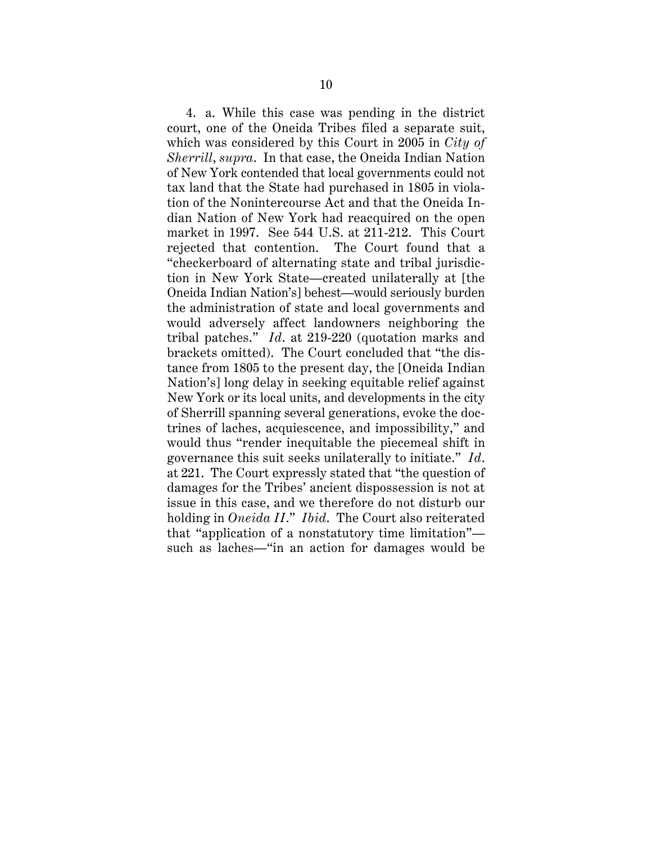4. a. While this case was pending in the district court, one of the Oneida Tribes filed a separate suit, which was considered by this Court in 2005 in *City of Sherrill*, *supra*. In that case, the Oneida Indian Nation of New York contended that local governments could not tax land that the State had purchased in 1805 in violation of the Nonintercourse Act and that the Oneida Indian Nation of New York had reacquired on the open market in 1997. See 544 U.S. at 211-212. This Court rejected that contention. The Court found that a "checkerboard of alternating state and tribal jurisdiction in New York State—created unilaterally at [the Oneida Indian Nation's] behest—would seriously burden the administration of state and local governments and would adversely affect landowners neighboring the tribal patches." *Id*. at 219-220 (quotation marks and brackets omitted). The Court concluded that "the distance from 1805 to the present day, the [Oneida Indian Nation's] long delay in seeking equitable relief against New York or its local units, and developments in the city of Sherrill spanning several generations, evoke the doctrines of laches, acquiescence, and impossibility," and would thus "render inequitable the piecemeal shift in governance this suit seeks unilaterally to initiate." *Id*. at 221. The Court expressly stated that "the question of damages for the Tribes' ancient dispossession is not at issue in this case, and we therefore do not disturb our holding in *Oneida II*." *Ibid*. The Court also reiterated that "application of a nonstatutory time limitation" such as laches—"in an action for damages would be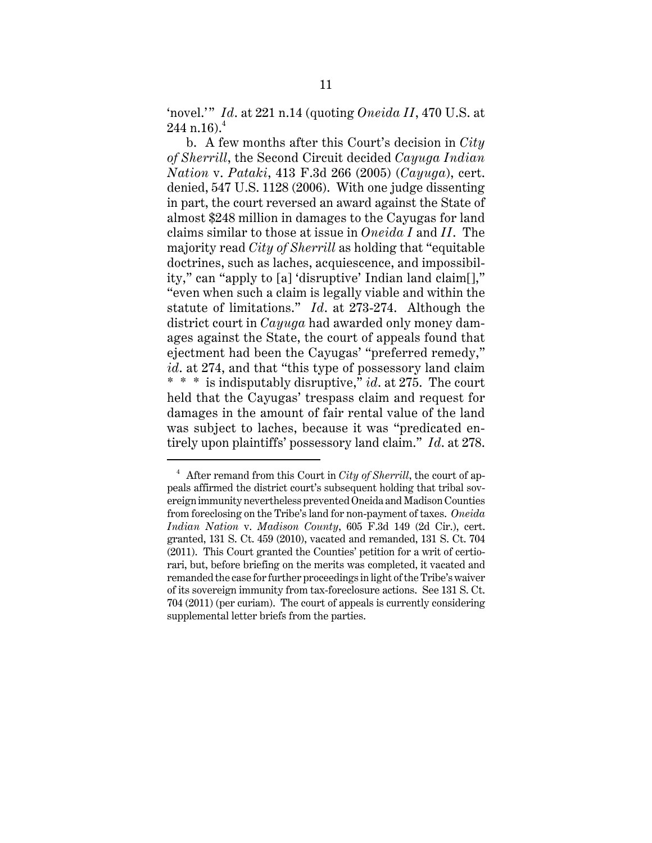'novel.'" *Id*. at 221 n.14 (quoting *Oneida II*, 470 U.S. at  $244$  n.16).<sup>4</sup>

b. A few months after this Court's decision in *City of Sherrill*, the Second Circuit decided *Cayuga Indian Nation* v. *Pataki*, 413 F.3d 266 (2005) (*Cayuga*), cert. denied, 547 U.S. 1128 (2006). With one judge dissenting in part, the court reversed an award against the State of almost \$248 million in damages to the Cayugas for land claims similar to those at issue in *Oneida I* and *II*. The majority read *City of Sherrill* as holding that "equitable doctrines, such as laches, acquiescence, and impossibility," can "apply to [a] 'disruptive' Indian land claim[]," "even when such a claim is legally viable and within the statute of limitations." *Id*. at 273-274. Although the district court in *Cayuga* had awarded only money damages against the State, the court of appeals found that ejectment had been the Cayugas' "preferred remedy," *id*. at 274, and that "this type of possessory land claim \* \* \* is indisputably disruptive," *id*. at 275. The court held that the Cayugas' trespass claim and request for damages in the amount of fair rental value of the land was subject to laches, because it was "predicated entirely upon plaintiffs' possessory land claim." *Id*. at 278.

<sup>4</sup> After remand from this Court in *City of Sherrill*, the court of appeals affirmed the district court's subsequent holding that tribal sovereign immunity nevertheless prevented Oneida and Madison Counties from foreclosing on the Tribe's land for non-payment of taxes. *Oneida Indian Nation* v. *Madison County*, 605 F.3d 149 (2d Cir.), cert. granted, 131 S. Ct. 459 (2010), vacated and remanded, 131 S. Ct. 704 (2011). This Court granted the Counties' petition for a writ of certiorari, but, before briefing on the merits was completed, it vacated and remanded the case for further proceedings in light of the Tribe's waiver of its sovereign immunity from tax-foreclosure actions. See 131 S. Ct. 704 (2011) (per curiam). The court of appeals is currently considering supplemental letter briefs from the parties.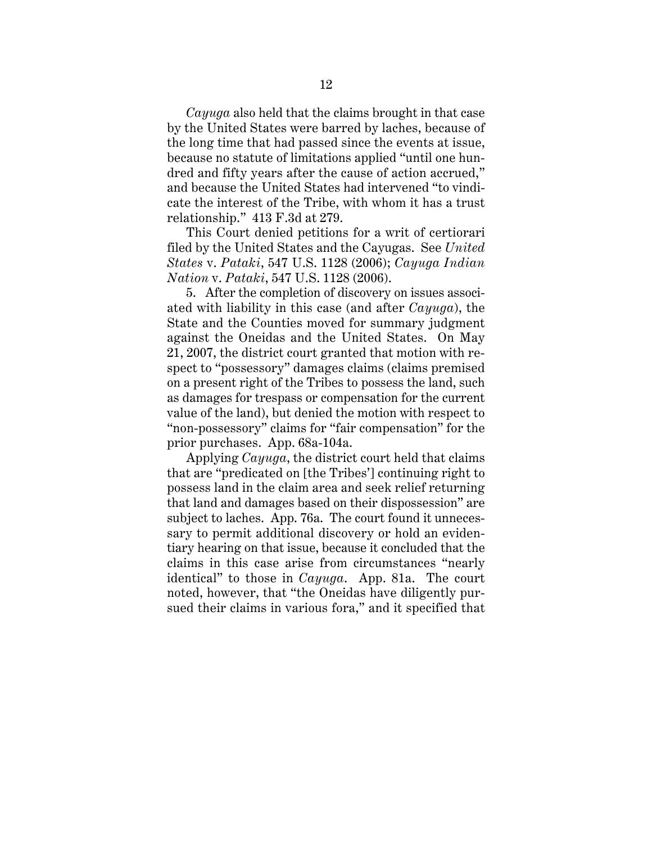*Cayuga* also held that the claims brought in that case by the United States were barred by laches, because of the long time that had passed since the events at issue, because no statute of limitations applied "until one hundred and fifty years after the cause of action accrued," and because the United States had intervened "to vindicate the interest of the Tribe, with whom it has a trust relationship." 413 F.3d at 279.

This Court denied petitions for a writ of certiorari filed by the United States and the Cayugas. See *United States* v. *Pataki*, 547 U.S. 1128 (2006); *Cayuga Indian Nation* v. *Pataki*, 547 U.S. 1128 (2006).

5. After the completion of discovery on issues associated with liability in this case (and after *Cayuga*), the State and the Counties moved for summary judgment against the Oneidas and the United States. On May 21, 2007, the district court granted that motion with respect to "possessory" damages claims (claims premised on a present right of the Tribes to possess the land, such as damages for trespass or compensation for the current value of the land), but denied the motion with respect to "non-possessory" claims for "fair compensation" for the prior purchases. App. 68a-104a.

Applying *Cayuga*, the district court held that claims that are "predicated on [the Tribes'] continuing right to possess land in the claim area and seek relief returning that land and damages based on their dispossession" are subject to laches. App. 76a. The court found it unnecessary to permit additional discovery or hold an evidentiary hearing on that issue, because it concluded that the claims in this case arise from circumstances "nearly identical" to those in *Cayuga*. App. 81a. The court noted, however, that "the Oneidas have diligently pursued their claims in various fora," and it specified that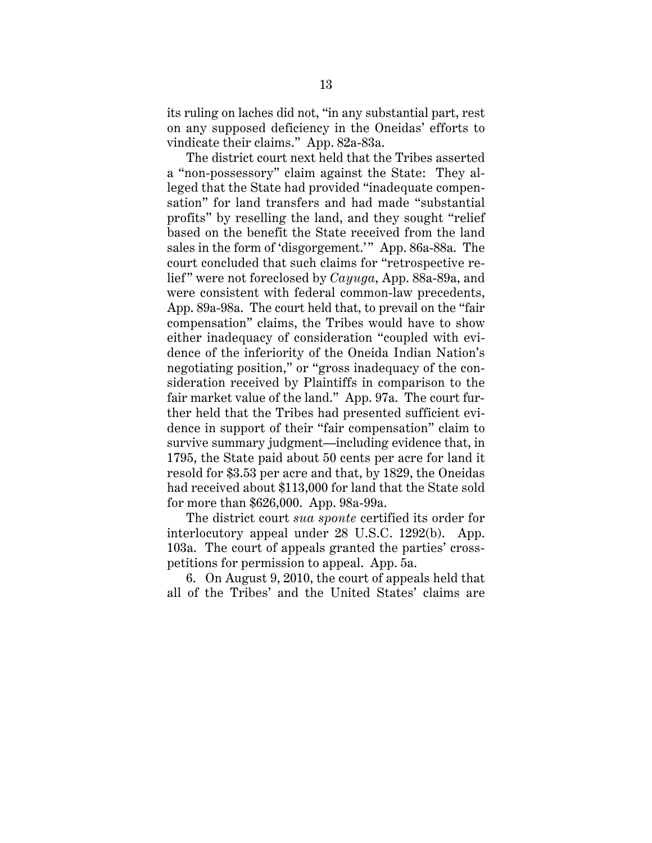its ruling on laches did not, "in any substantial part, rest on any supposed deficiency in the Oneidas' efforts to vindicate their claims." App. 82a-83a.

The district court next held that the Tribes asserted a "non-possessory" claim against the State: They alleged that the State had provided "inadequate compensation" for land transfers and had made "substantial profits" by reselling the land, and they sought "relief based on the benefit the State received from the land sales in the form of 'disgorgement.'" App. 86a-88a. The court concluded that such claims for "retrospective relief" were not foreclosed by *Cayuga*, App. 88a-89a, and were consistent with federal common-law precedents, App. 89a-98a. The court held that, to prevail on the "fair compensation" claims, the Tribes would have to show either inadequacy of consideration "coupled with evidence of the inferiority of the Oneida Indian Nation's negotiating position," or "gross inadequacy of the consideration received by Plaintiffs in comparison to the fair market value of the land." App. 97a. The court further held that the Tribes had presented sufficient evidence in support of their "fair compensation" claim to survive summary judgment—including evidence that, in 1795, the State paid about 50 cents per acre for land it resold for \$3.53 per acre and that, by 1829, the Oneidas had received about \$113,000 for land that the State sold for more than \$626,000. App. 98a-99a.

The district court *sua sponte* certified its order for interlocutory appeal under 28 U.S.C. 1292(b). App. 103a. The court of appeals granted the parties' crosspetitions for permission to appeal. App. 5a.

6. On August 9, 2010, the court of appeals held that all of the Tribes' and the United States' claims are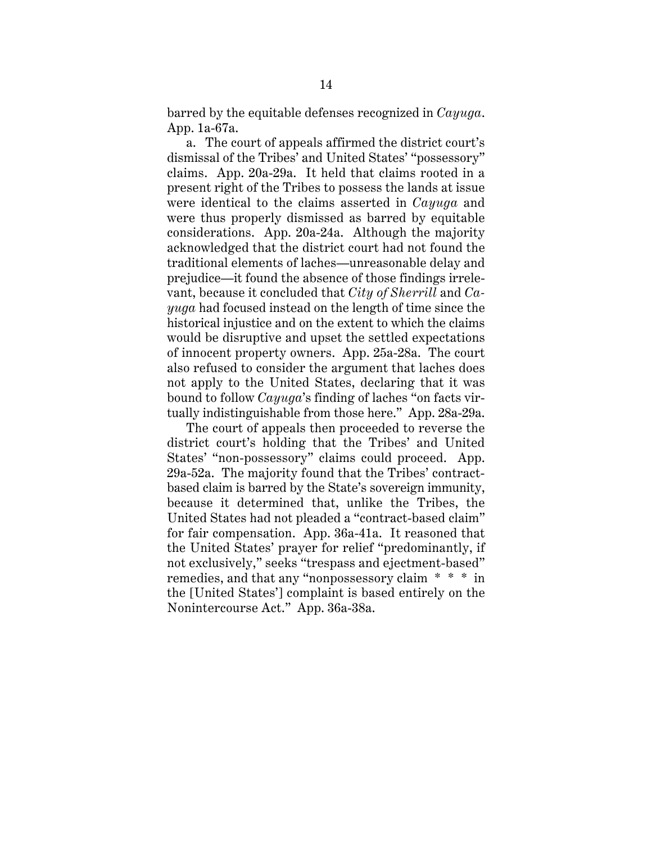barred by the equitable defenses recognized in *Cayuga*. App. 1a-67a.

a. The court of appeals affirmed the district court's dismissal of the Tribes' and United States' "possessory" claims. App. 20a-29a. It held that claims rooted in a present right of the Tribes to possess the lands at issue were identical to the claims asserted in *Cayuga* and were thus properly dismissed as barred by equitable considerations. App. 20a-24a. Although the majority acknowledged that the district court had not found the traditional elements of laches—unreasonable delay and prejudice—it found the absence of those findings irrelevant, because it concluded that *City of Sherrill* and *Cayuga* had focused instead on the length of time since the historical injustice and on the extent to which the claims would be disruptive and upset the settled expectations of innocent property owners. App. 25a-28a. The court also refused to consider the argument that laches does not apply to the United States, declaring that it was bound to follow *Cayuga*'s finding of laches "on facts virtually indistinguishable from those here." App. 28a-29a.

The court of appeals then proceeded to reverse the district court's holding that the Tribes' and United States' "non-possessory" claims could proceed. App. 29a-52a. The majority found that the Tribes' contractbased claim is barred by the State's sovereign immunity, because it determined that, unlike the Tribes, the United States had not pleaded a "contract-based claim" for fair compensation. App. 36a-41a. It reasoned that the United States' prayer for relief "predominantly, if not exclusively," seeks "trespass and ejectment-based" remedies, and that any "nonpossessory claim \* \* \* in the [United States'] complaint is based entirely on the Nonintercourse Act." App. 36a-38a.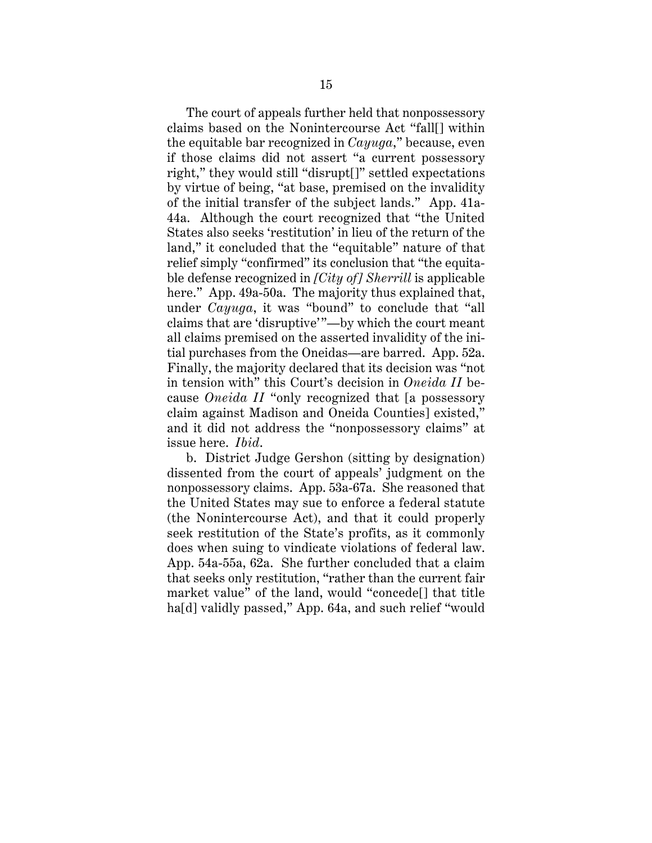The court of appeals further held that nonpossessory claims based on the Nonintercourse Act "fall[] within the equitable bar recognized in *Cayuga*," because, even if those claims did not assert "a current possessory right," they would still "disrupt[]" settled expectations by virtue of being, "at base, premised on the invalidity of the initial transfer of the subject lands." App. 41a-44a. Although the court recognized that "the United States also seeks 'restitution' in lieu of the return of the land," it concluded that the "equitable" nature of that relief simply "confirmed" its conclusion that "the equitable defense recognized in *[City of] Sherrill* is applicable here." App. 49a-50a. The majority thus explained that, under *Cayuga*, it was "bound" to conclude that "all claims that are 'disruptive'"—by which the court meant all claims premised on the asserted invalidity of the initial purchases from the Oneidas—are barred. App. 52a. Finally, the majority declared that its decision was "not in tension with" this Court's decision in *Oneida II* because *Oneida II* "only recognized that [a possessory claim against Madison and Oneida Counties] existed," and it did not address the "nonpossessory claims" at issue here. *Ibid*.

b. District Judge Gershon (sitting by designation) dissented from the court of appeals' judgment on the nonpossessory claims. App. 53a-67a. She reasoned that the United States may sue to enforce a federal statute (the Nonintercourse Act), and that it could properly seek restitution of the State's profits, as it commonly does when suing to vindicate violations of federal law. App. 54a-55a, 62a. She further concluded that a claim that seeks only restitution, "rather than the current fair market value" of the land, would "concede[] that title ha[d] validly passed," App. 64a, and such relief "would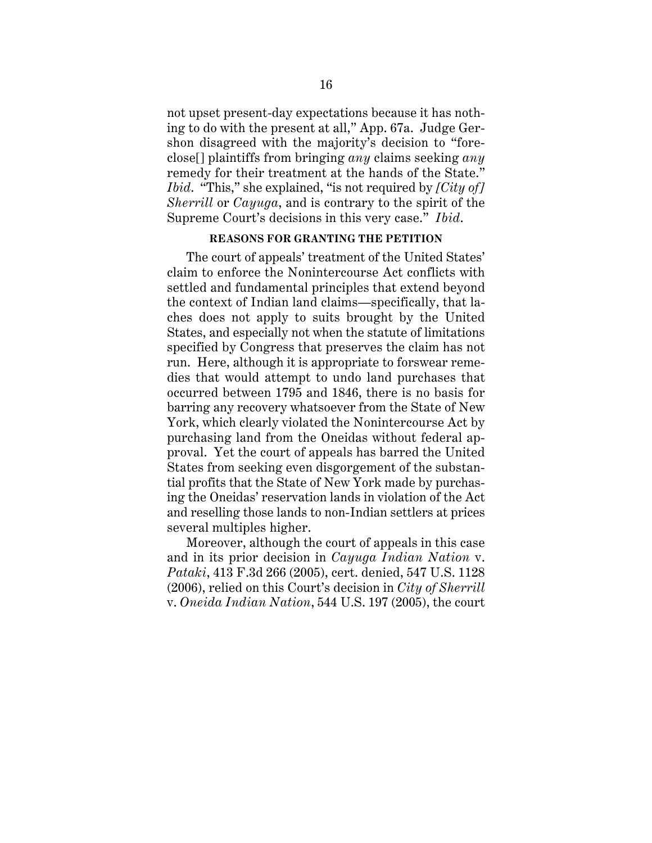not upset present-day expectations because it has nothing to do with the present at all," App. 67a. Judge Gershon disagreed with the majority's decision to "foreclose[] plaintiffs from bringing *any* claims seeking *any* remedy for their treatment at the hands of the State." *Ibid*. "This," she explained, "is not required by *[City of] Sherrill* or *Cayuga*, and is contrary to the spirit of the Supreme Court's decisions in this very case." *Ibid*.

#### **REASONS FOR GRANTING THE PETITION**

The court of appeals' treatment of the United States' claim to enforce the Nonintercourse Act conflicts with settled and fundamental principles that extend beyond the context of Indian land claims—specifically, that laches does not apply to suits brought by the United States, and especially not when the statute of limitations specified by Congress that preserves the claim has not run. Here, although it is appropriate to forswear remedies that would attempt to undo land purchases that occurred between 1795 and 1846, there is no basis for barring any recovery whatsoever from the State of New York, which clearly violated the Nonintercourse Act by purchasing land from the Oneidas without federal approval. Yet the court of appeals has barred the United States from seeking even disgorgement of the substantial profits that the State of New York made by purchasing the Oneidas' reservation lands in violation of the Act and reselling those lands to non-Indian settlers at prices several multiples higher.

Moreover, although the court of appeals in this case and in its prior decision in *Cayuga Indian Nation* v. *Pataki*, 413 F.3d 266 (2005), cert. denied, 547 U.S. 1128 (2006), relied on this Court's decision in *City of Sherrill* v. *Oneida Indian Nation*, 544 U.S. 197 (2005), the court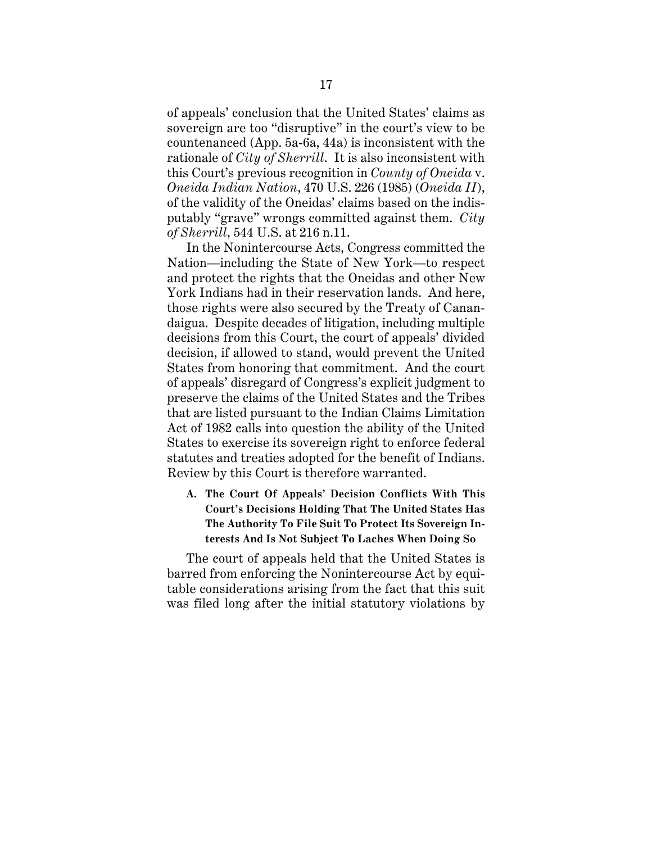of appeals' conclusion that the United States' claims as sovereign are too "disruptive" in the court's view to be countenanced (App. 5a-6a, 44a) is inconsistent with the rationale of *City of Sherrill*. It is also inconsistent with this Court's previous recognition in *County of Oneida* v. *Oneida Indian Nation*, 470 U.S. 226 (1985) (*Oneida II*), of the validity of the Oneidas' claims based on the indisputably "grave" wrongs committed against them. *City of Sherrill*, 544 U.S. at 216 n.11.

In the Nonintercourse Acts, Congress committed the Nation—including the State of New York—to respect and protect the rights that the Oneidas and other New York Indians had in their reservation lands. And here, those rights were also secured by the Treaty of Canandaigua. Despite decades of litigation, including multiple decisions from this Court, the court of appeals' divided decision, if allowed to stand, would prevent the United States from honoring that commitment. And the court of appeals' disregard of Congress's explicit judgment to preserve the claims of the United States and the Tribes that are listed pursuant to the Indian Claims Limitation Act of 1982 calls into question the ability of the United States to exercise its sovereign right to enforce federal statutes and treaties adopted for the benefit of Indians. Review by this Court is therefore warranted.

**A. The Court Of Appeals' Decision Conflicts With This Court's Decisions Holding That The United States Has The Authority To File Suit To Protect Its Sovereign Interests And Is Not Subject To Laches When Doing So**

The court of appeals held that the United States is barred from enforcing the Nonintercourse Act by equitable considerations arising from the fact that this suit was filed long after the initial statutory violations by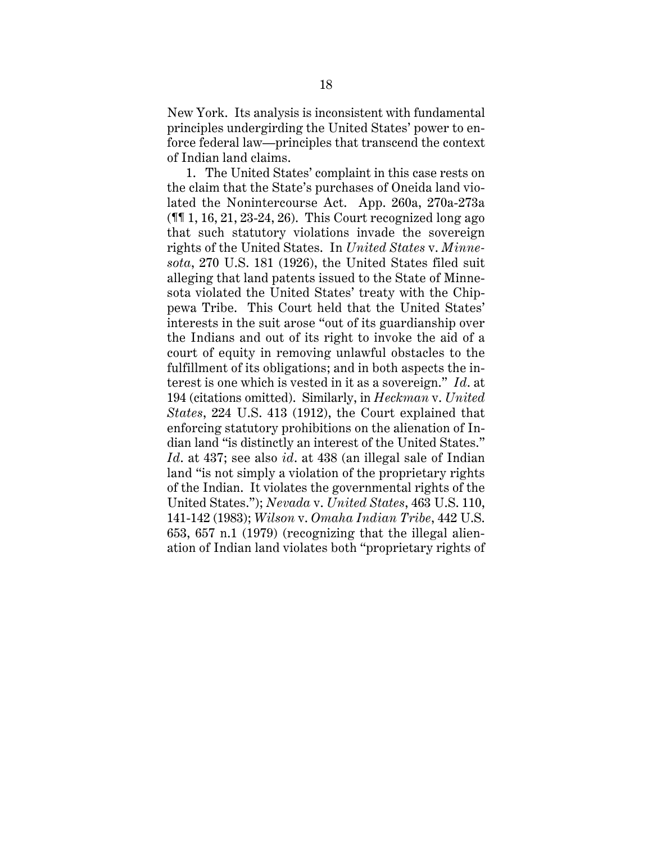New York. Its analysis is inconsistent with fundamental principles undergirding the United States' power to enforce federal law—principles that transcend the context of Indian land claims.

1. The United States' complaint in this case rests on the claim that the State's purchases of Oneida land violated the Nonintercourse Act. App. 260a, 270a-273a  $(\mathbb{M}1, 16, 21, 23-24, 26)$ . This Court recognized long ago that such statutory violations invade the sovereign rights of the United States. In *United States* v. *Minnesota*, 270 U.S. 181 (1926), the United States filed suit alleging that land patents issued to the State of Minnesota violated the United States' treaty with the Chippewa Tribe. This Court held that the United States' interests in the suit arose "out of its guardianship over the Indians and out of its right to invoke the aid of a court of equity in removing unlawful obstacles to the fulfillment of its obligations; and in both aspects the interest is one which is vested in it as a sovereign." *Id*. at 194 (citations omitted). Similarly, in *Heckman* v. *United States*, 224 U.S. 413 (1912), the Court explained that enforcing statutory prohibitions on the alienation of Indian land "is distinctly an interest of the United States." *Id*. at 437; see also *id*. at 438 (an illegal sale of Indian land "is not simply a violation of the proprietary rights of the Indian. It violates the governmental rights of the United States."); *Nevada* v. *United States*, 463 U.S. 110, 141-142 (1983); *Wilson* v. *Omaha Indian Tribe*, 442 U.S. 653, 657 n.1 (1979) (recognizing that the illegal alienation of Indian land violates both "proprietary rights of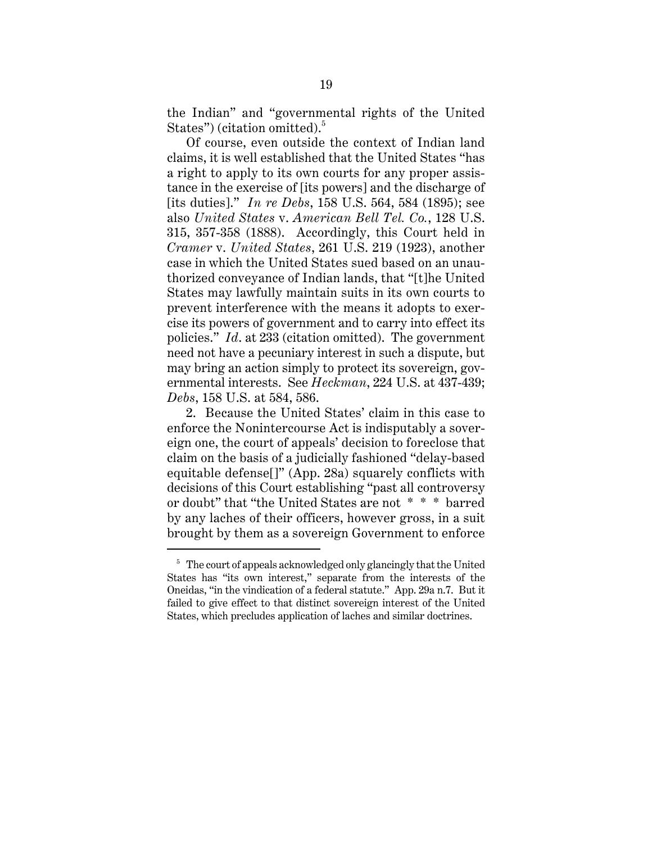the Indian" and "governmental rights of the United States") (citation omitted).<sup>5</sup>

Of course, even outside the context of Indian land claims, it is well established that the United States "has a right to apply to its own courts for any proper assistance in the exercise of [its powers] and the discharge of [its duties]." *In re Debs*, 158 U.S. 564, 584 (1895); see also *United States* v. *American Bell Tel. Co.*, 128 U.S. 315, 357-358 (1888). Accordingly, this Court held in *Cramer* v. *United States*, 261 U.S. 219 (1923), another case in which the United States sued based on an unauthorized conveyance of Indian lands, that "[t]he United States may lawfully maintain suits in its own courts to prevent interference with the means it adopts to exercise its powers of government and to carry into effect its policies." *Id*. at 233 (citation omitted). The government need not have a pecuniary interest in such a dispute, but may bring an action simply to protect its sovereign, governmental interests. See *Heckman*, 224 U.S. at 437-439; *Debs*, 158 U.S. at 584, 586.

2. Because the United States' claim in this case to enforce the Nonintercourse Act is indisputably a sovereign one, the court of appeals' decision to foreclose that claim on the basis of a judicially fashioned "delay-based equitable defense[]" (App. 28a) squarely conflicts with decisions of this Court establishing "past all controversy or doubt" that "the United States are not \* \* \* barred by any laches of their officers, however gross, in a suit brought by them as a sovereign Government to enforce

 $5$  The court of appeals acknowledged only glancingly that the United States has "its own interest," separate from the interests of the Oneidas, "in the vindication of a federal statute." App. 29a n.7. But it failed to give effect to that distinct sovereign interest of the United States, which precludes application of laches and similar doctrines.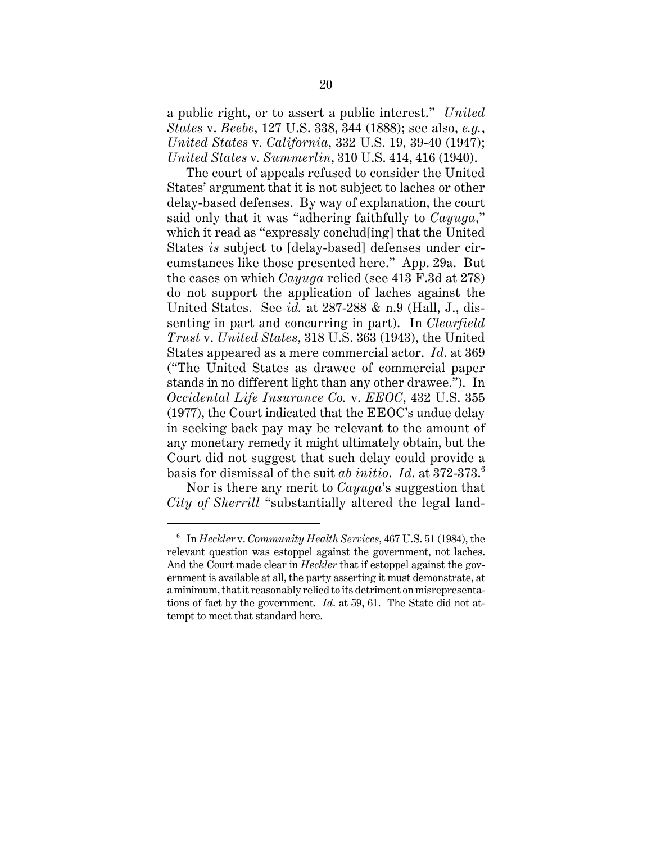a public right, or to assert a public interest." *United States* v. *Beebe*, 127 U.S. 338, 344 (1888); see also, *e.g.*, *United States* v. *California*, 332 U.S. 19, 39-40 (1947); *United States* v*. Summerlin*, 310 U.S. 414, 416 (1940).

The court of appeals refused to consider the United States' argument that it is not subject to laches or other delay-based defenses. By way of explanation, the court said only that it was "adhering faithfully to *Cayuga*," which it read as "expressly conclud[ing] that the United States *is* subject to [delay-based] defenses under circumstances like those presented here." App. 29a. But the cases on which *Cayuga* relied (see 413 F.3d at 278) do not support the application of laches against the United States. See *id.* at 287-288 & n.9 (Hall, J., dissenting in part and concurring in part). In *Clearfield Trust* v. *United States*, 318 U.S. 363 (1943), the United States appeared as a mere commercial actor. *Id*. at 369 ("The United States as drawee of commercial paper stands in no different light than any other drawee."). In *Occidental Life Insurance Co.* v. *EEOC*, 432 U.S. 355 (1977), the Court indicated that the EEOC's undue delay in seeking back pay may be relevant to the amount of any monetary remedy it might ultimately obtain, but the Court did not suggest that such delay could provide a basis for dismissal of the suit *ab initio*. *Id*. at 372-373.<sup>6</sup>

Nor is there any merit to *Cayuga*'s suggestion that *City of Sherrill* "substantially altered the legal land-

<sup>6</sup> In *Heckler* v. *Community Health Services*, 467 U.S. 51 (1984), the relevant question was estoppel against the government, not laches. And the Court made clear in *Heckler* that if estoppel against the government is available at all, the party asserting it must demonstrate, at a minimum, that it reasonably relied to its detriment on misrepresentations of fact by the government. *Id*. at 59, 61. The State did not attempt to meet that standard here.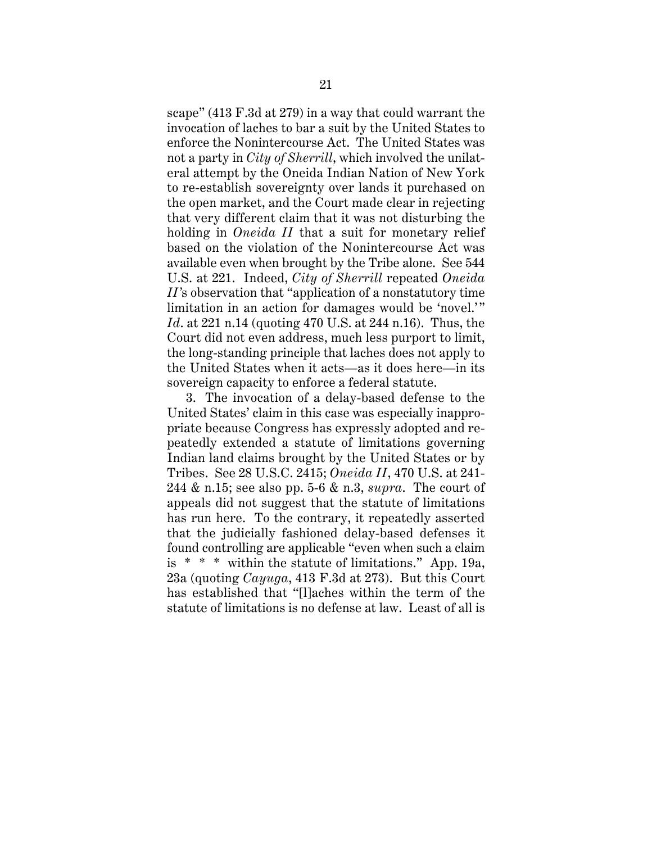scape" (413 F.3d at 279) in a way that could warrant the invocation of laches to bar a suit by the United States to enforce the Nonintercourse Act. The United States was not a party in *City of Sherrill*, which involved the unilateral attempt by the Oneida Indian Nation of New York to re-establish sovereignty over lands it purchased on the open market, and the Court made clear in rejecting that very different claim that it was not disturbing the holding in *Oneida II* that a suit for monetary relief based on the violation of the Nonintercourse Act was available even when brought by the Tribe alone. See 544 U.S. at 221. Indeed, *City of Sherrill* repeated *Oneida II'*s observation that "application of a nonstatutory time limitation in an action for damages would be 'novel.'" *Id*. at 221 n.14 (quoting 470 U.S. at 244 n.16). Thus, the Court did not even address, much less purport to limit, the long-standing principle that laches does not apply to the United States when it acts—as it does here—in its sovereign capacity to enforce a federal statute.

3. The invocation of a delay-based defense to the United States' claim in this case was especially inappropriate because Congress has expressly adopted and repeatedly extended a statute of limitations governing Indian land claims brought by the United States or by Tribes. See 28 U.S.C. 2415; *Oneida II*, 470 U.S. at 241- 244 & n.15; see also pp. 5-6 & n.3, *supra*. The court of appeals did not suggest that the statute of limitations has run here. To the contrary, it repeatedly asserted that the judicially fashioned delay-based defenses it found controlling are applicable "even when such a claim is  $* * *$  within the statute of limitations." App. 19a, 23a (quoting *Cayuga*, 413 F.3d at 273). But this Court has established that "[l]aches within the term of the statute of limitations is no defense at law. Least of all is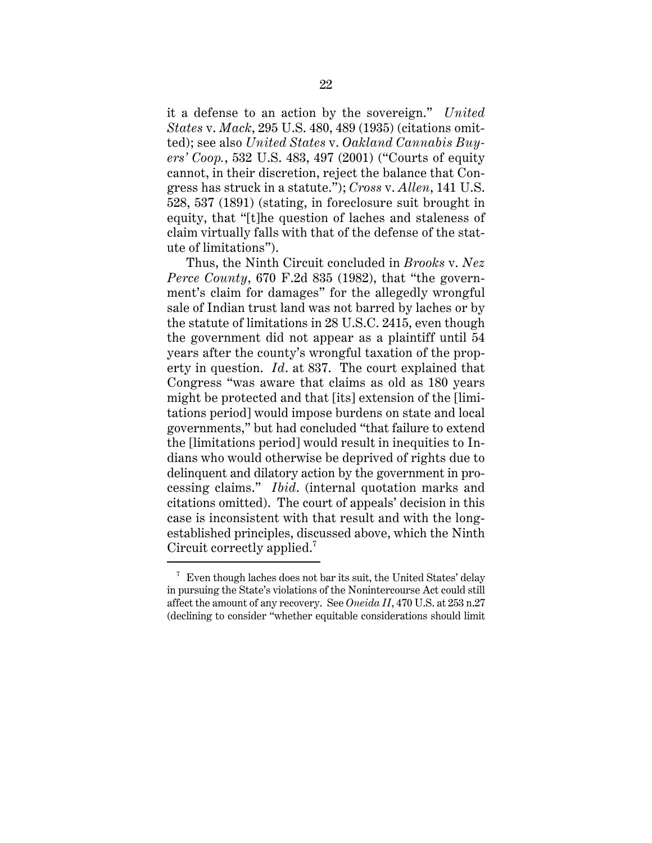it a defense to an action by the sovereign." *United States* v. *Mack*, 295 U.S. 480, 489 (1935) (citations omitted); see also *United States* v. *Oakland Cannabis Buyers' Coop.*, 532 U.S. 483, 497 (2001) ("Courts of equity cannot, in their discretion, reject the balance that Congress has struck in a statute."); *Cross* v. *Allen*, 141 U.S. 528, 537 (1891) (stating, in foreclosure suit brought in equity, that "[t]he question of laches and staleness of claim virtually falls with that of the defense of the statute of limitations").

Thus, the Ninth Circuit concluded in *Brooks* v. *Nez Perce County*, 670 F.2d 835 (1982), that "the government's claim for damages" for the allegedly wrongful sale of Indian trust land was not barred by laches or by the statute of limitations in 28 U.S.C. 2415, even though the government did not appear as a plaintiff until 54 years after the county's wrongful taxation of the property in question. *Id*. at 837. The court explained that Congress "was aware that claims as old as 180 years might be protected and that [its] extension of the [limitations period] would impose burdens on state and local governments," but had concluded "that failure to extend the [limitations period] would result in inequities to Indians who would otherwise be deprived of rights due to delinquent and dilatory action by the government in processing claims." *Ibid*. (internal quotation marks and citations omitted). The court of appeals' decision in this case is inconsistent with that result and with the longestablished principles, discussed above, which the Ninth Circuit correctly applied.<sup>7</sup>

 $7$  Even though laches does not bar its suit, the United States' delay in pursuing the State's violations of the Nonintercourse Act could still affect the amount of any recovery. See *Oneida II*, 470 U.S. at 253 n.27 (declining to consider "whether equitable considerations should limit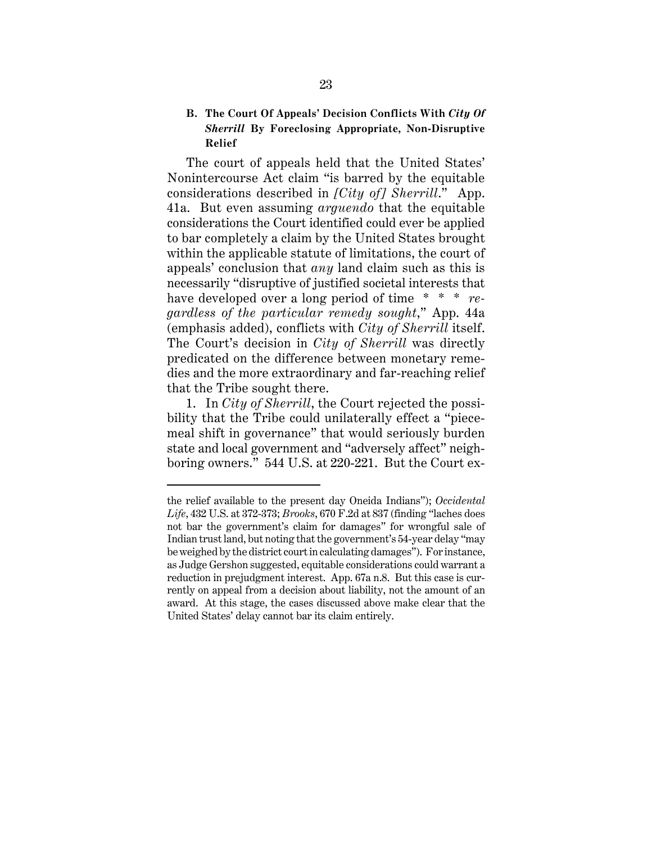#### **B. The Court Of Appeals' Decision Conflicts With** *City Of Sherrill* **By Foreclosing Appropriate, Non-Disruptive Relief**

The court of appeals held that the United States' Nonintercourse Act claim "is barred by the equitable considerations described in *[City of] Sherrill*." App. 41a. But even assuming *arguendo* that the equitable considerations the Court identified could ever be applied to bar completely a claim by the United States brought within the applicable statute of limitations, the court of appeals' conclusion that *any* land claim such as this is necessarily "disruptive of justified societal interests that have developed over a long period of time \* \* \* *regardless of the particular remedy sought*," App. 44a (emphasis added), conflicts with *City of Sherrill* itself. The Court's decision in *City of Sherrill* was directly predicated on the difference between monetary remedies and the more extraordinary and far-reaching relief that the Tribe sought there.

1. In *City of Sherrill*, the Court rejected the possibility that the Tribe could unilaterally effect a "piecemeal shift in governance" that would seriously burden state and local government and "adversely affect" neighboring owners." 544 U.S. at 220-221. But the Court ex-

the relief available to the present day Oneida Indians"); *Occidental Life*, 432 U.S. at 372-373; *Brooks*, 670 F.2d at 837 (finding "laches does not bar the government's claim for damages" for wrongful sale of Indian trust land, but noting that the government's 54-year delay "may be weighed by the district court in calculating damages"). For instance, as Judge Gershon suggested, equitable considerations could warrant a reduction in prejudgment interest. App. 67a n.8. But this case is currently on appeal from a decision about liability, not the amount of an award. At this stage, the cases discussed above make clear that the United States' delay cannot bar its claim entirely.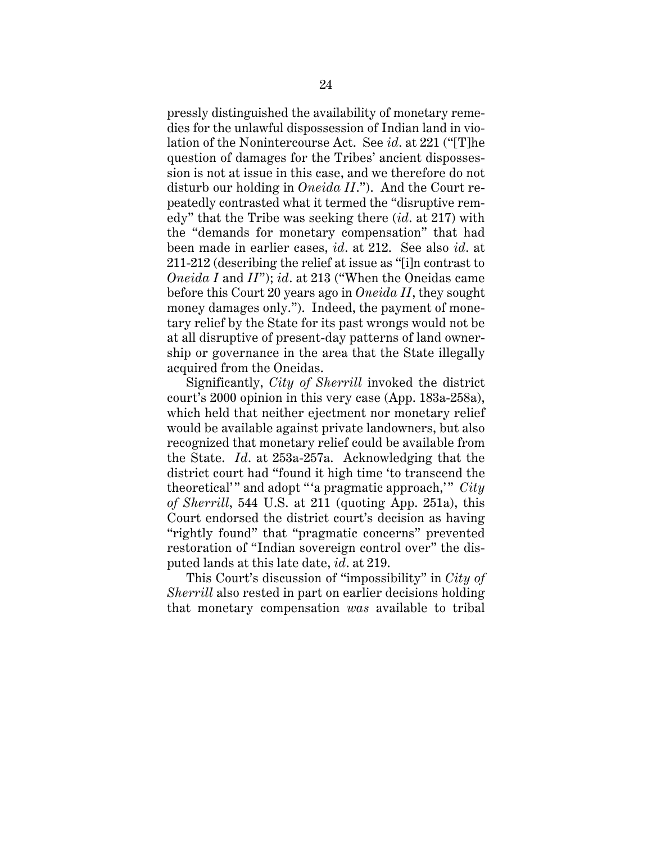pressly distinguished the availability of monetary remedies for the unlawful dispossession of Indian land in violation of the Nonintercourse Act. See *id*. at 221 ("[T]he question of damages for the Tribes' ancient dispossession is not at issue in this case, and we therefore do not disturb our holding in *Oneida II*."). And the Court repeatedly contrasted what it termed the "disruptive remedy" that the Tribe was seeking there (*id*. at 217) with the "demands for monetary compensation" that had been made in earlier cases, *id*. at 212. See also *id*. at 211-212 (describing the relief at issue as "[i]n contrast to *Oneida I* and *II*"); *id*. at 213 ("When the Oneidas came before this Court 20 years ago in *Oneida II*, they sought money damages only."). Indeed, the payment of monetary relief by the State for its past wrongs would not be at all disruptive of present-day patterns of land ownership or governance in the area that the State illegally acquired from the Oneidas.

Significantly, *City of Sherrill* invoked the district court's 2000 opinion in this very case (App. 183a-258a), which held that neither ejectment nor monetary relief would be available against private landowners, but also recognized that monetary relief could be available from the State. *Id*. at 253a-257a. Acknowledging that the district court had "found it high time 'to transcend the theoretical'" and adopt "'a pragmatic approach,'" *City of Sherrill*, 544 U.S. at 211 (quoting App. 251a), this Court endorsed the district court's decision as having "rightly found" that "pragmatic concerns" prevented restoration of "Indian sovereign control over" the disputed lands at this late date, *id*. at 219.

This Court's discussion of "impossibility" in *City of Sherrill* also rested in part on earlier decisions holding that monetary compensation *was* available to tribal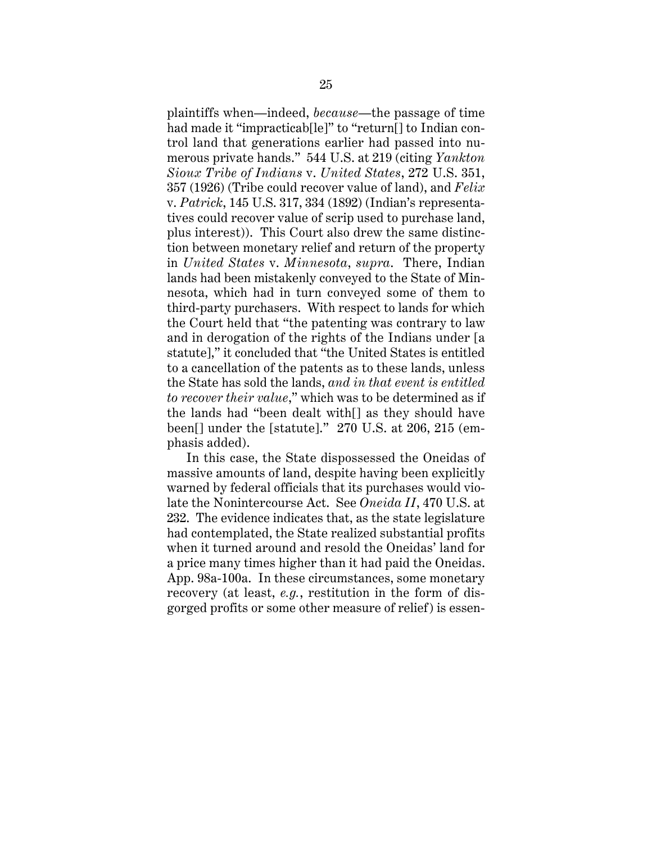plaintiffs when—indeed, *because*—the passage of time had made it "impracticab<sup>[le]"</sup> to "return<sup>[]</sup> to Indian control land that generations earlier had passed into numerous private hands." 544 U.S. at 219 (citing *Yankton Sioux Tribe of Indians* v. *United States*, 272 U.S. 351, 357 (1926) (Tribe could recover value of land), and *Felix* v. *Patrick*, 145 U.S. 317, 334 (1892) (Indian's representatives could recover value of scrip used to purchase land, plus interest)). This Court also drew the same distinction between monetary relief and return of the property in *United States* v. *Minnesota*, *supra*. There, Indian lands had been mistakenly conveyed to the State of Minnesota, which had in turn conveyed some of them to third-party purchasers. With respect to lands for which the Court held that "the patenting was contrary to law and in derogation of the rights of the Indians under [a statute]," it concluded that "the United States is entitled to a cancellation of the patents as to these lands, unless the State has sold the lands, *and in that event is entitled to recover their value*," which was to be determined as if the lands had "been dealt with[] as they should have been[] under the [statute]." 270 U.S. at 206, 215 (emphasis added).

In this case, the State dispossessed the Oneidas of massive amounts of land, despite having been explicitly warned by federal officials that its purchases would violate the Nonintercourse Act. See *Oneida II*, 470 U.S. at 232. The evidence indicates that, as the state legislature had contemplated, the State realized substantial profits when it turned around and resold the Oneidas' land for a price many times higher than it had paid the Oneidas. App. 98a-100a. In these circumstances, some monetary recovery (at least, *e.g.*, restitution in the form of disgorged profits or some other measure of relief) is essen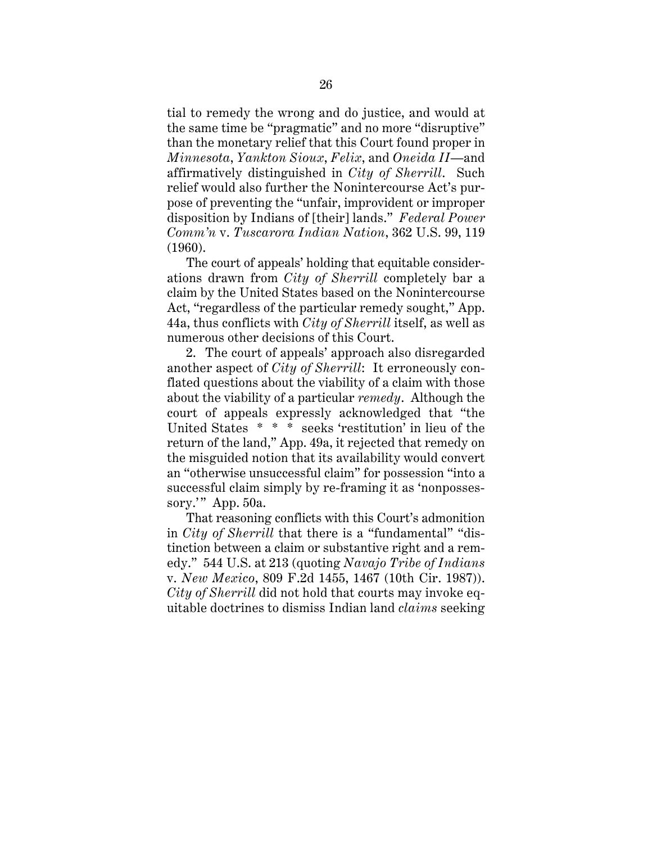tial to remedy the wrong and do justice, and would at the same time be "pragmatic" and no more "disruptive" than the monetary relief that this Court found proper in *Minnesota*, *Yankton Sioux*, *Felix*, and *Oneida II*—and affirmatively distinguished in *City of Sherrill*. Such relief would also further the Nonintercourse Act's purpose of preventing the "unfair, improvident or improper disposition by Indians of [their] lands." *Federal Power Comm'n* v. *Tuscarora Indian Nation*, 362 U.S. 99, 119 (1960).

The court of appeals' holding that equitable considerations drawn from *City of Sherrill* completely bar a claim by the United States based on the Nonintercourse Act, "regardless of the particular remedy sought," App. 44a, thus conflicts with *City of Sherrill* itself, as well as numerous other decisions of this Court.

2. The court of appeals' approach also disregarded another aspect of *City of Sherrill*: It erroneously conflated questions about the viability of a claim with those about the viability of a particular *remedy*. Although the court of appeals expressly acknowledged that "the United States \* \* \* seeks 'restitution' in lieu of the return of the land," App. 49a, it rejected that remedy on the misguided notion that its availability would convert an "otherwise unsuccessful claim" for possession "into a successful claim simply by re-framing it as 'nonpossessory." App. 50a.

That reasoning conflicts with this Court's admonition in *City of Sherrill* that there is a "fundamental" "distinction between a claim or substantive right and a remedy." 544 U.S. at 213 (quoting *Navajo Tribe of Indians* v. *New Mexico*, 809 F.2d 1455, 1467 (10th Cir. 1987)). *City of Sherrill* did not hold that courts may invoke equitable doctrines to dismiss Indian land *claims* seeking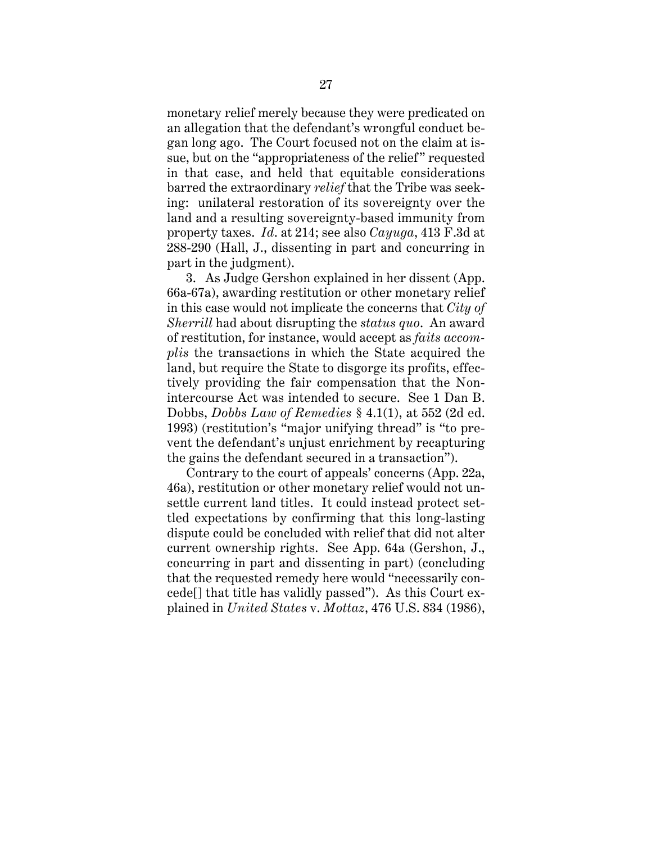monetary relief merely because they were predicated on an allegation that the defendant's wrongful conduct began long ago. The Court focused not on the claim at issue, but on the "appropriateness of the relief" requested in that case, and held that equitable considerations barred the extraordinary *relief* that the Tribe was seeking: unilateral restoration of its sovereignty over the land and a resulting sovereignty-based immunity from property taxes. *Id*. at 214; see also *Cayuga*, 413 F.3d at 288-290 (Hall, J., dissenting in part and concurring in part in the judgment).

3. As Judge Gershon explained in her dissent (App. 66a-67a), awarding restitution or other monetary relief in this case would not implicate the concerns that *City of Sherrill* had about disrupting the *status quo*. An award of restitution, for instance, would accept as *faits accomplis* the transactions in which the State acquired the land, but require the State to disgorge its profits, effectively providing the fair compensation that the Nonintercourse Act was intended to secure. See 1 Dan B. Dobbs, *Dobbs Law of Remedies* § 4.1(1), at 552 (2d ed. 1993) (restitution's "major unifying thread" is "to prevent the defendant's unjust enrichment by recapturing the gains the defendant secured in a transaction").

Contrary to the court of appeals' concerns (App. 22a, 46a), restitution or other monetary relief would not unsettle current land titles. It could instead protect settled expectations by confirming that this long-lasting dispute could be concluded with relief that did not alter current ownership rights. See App. 64a (Gershon, J., concurring in part and dissenting in part) (concluding that the requested remedy here would "necessarily concede[] that title has validly passed"). As this Court explained in *United States* v. *Mottaz*, 476 U.S. 834 (1986),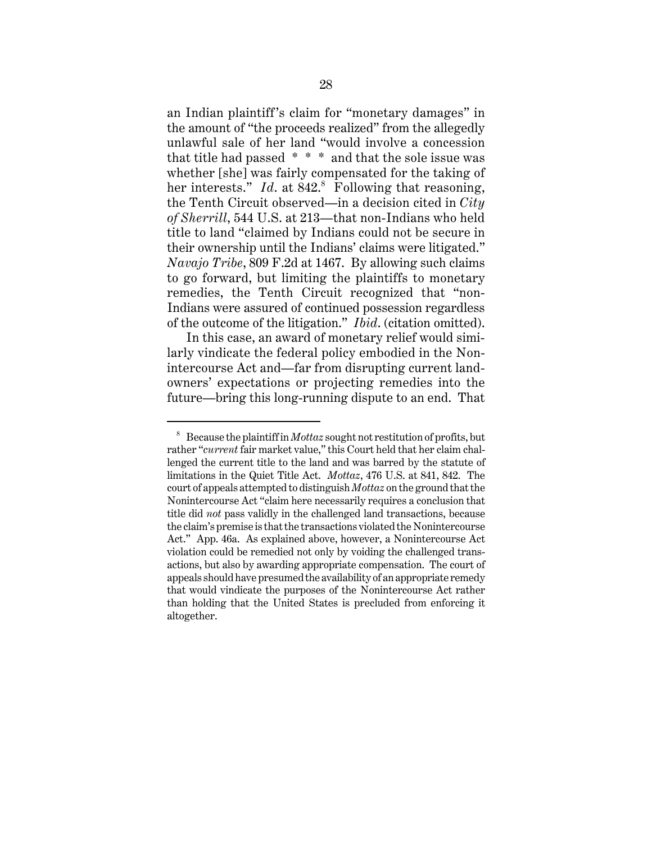an Indian plaintiff's claim for "monetary damages" in the amount of "the proceeds realized" from the allegedly unlawful sale of her land "would involve a concession that title had passed \* \* \* and that the sole issue was whether [she] was fairly compensated for the taking of her interests." *Id.* at 842.<sup>8</sup> Following that reasoning, the Tenth Circuit observed—in a decision cited in *City of Sherrill*, 544 U.S. at 213—that non-Indians who held title to land "claimed by Indians could not be secure in their ownership until the Indians' claims were litigated." *Navajo Tribe*, 809 F.2d at 1467. By allowing such claims to go forward, but limiting the plaintiffs to monetary remedies, the Tenth Circuit recognized that "non-Indians were assured of continued possession regardless of the outcome of the litigation." *Ibid*. (citation omitted).

In this case, an award of monetary relief would similarly vindicate the federal policy embodied in the Nonintercourse Act and—far from disrupting current landowners' expectations or projecting remedies into the future—bring this long-running dispute to an end. That

<sup>8</sup> Because the plaintiff in *Mottaz* sought not restitution of profits, but rather "*current* fair market value," this Court held that her claim challenged the current title to the land and was barred by the statute of limitations in the Quiet Title Act. *Mottaz*, 476 U.S. at 841, 842. The court of appeals attempted to distinguish *Mottaz* on the ground that the Nonintercourse Act "claim here necessarily requires a conclusion that title did *not* pass validly in the challenged land transactions, because the claim's premise is that the transactions violated the Nonintercourse Act." App. 46a. As explained above, however, a Nonintercourse Act violation could be remedied not only by voiding the challenged transactions, but also by awarding appropriate compensation. The court of appeals should have presumed the availability of an appropriate remedy that would vindicate the purposes of the Nonintercourse Act rather than holding that the United States is precluded from enforcing it altogether.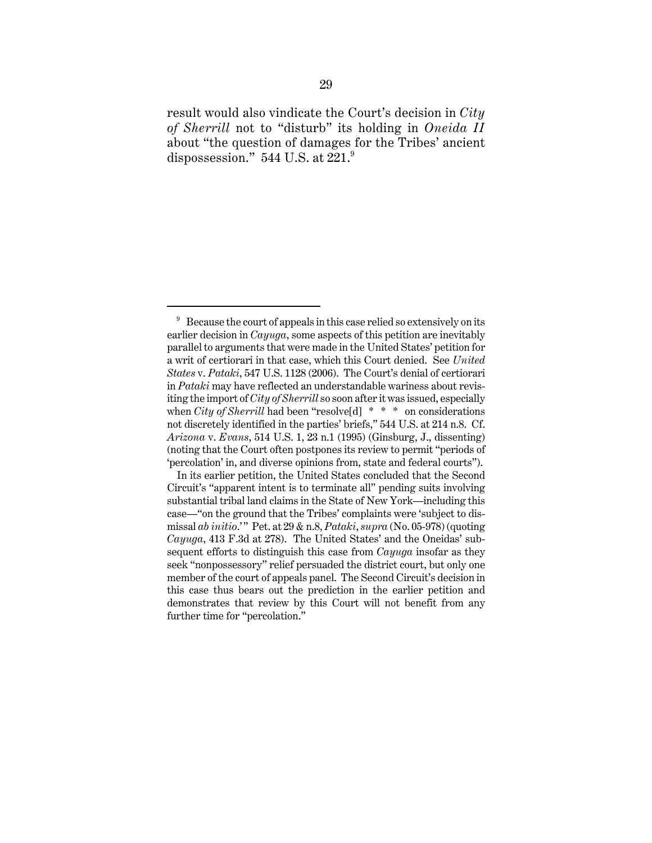result would also vindicate the Court's decision in *City of Sherrill* not to "disturb" its holding in *Oneida II* about "the question of damages for the Tribes' ancient dispossession."  $544$  U.S. at  $221$ .<sup>9</sup>

 $9\degree$  Because the court of appeals in this case relied so extensively on its earlier decision in *Cayuga*, some aspects of this petition are inevitably parallel to arguments that were made in the United States' petition for a writ of certiorari in that case, which this Court denied. See *United States* v. *Pataki*, 547 U.S. 1128 (2006). The Court's denial of certiorari in *Pataki* may have reflected an understandable wariness about revisiting the import of *City of Sherrill* so soon after it was issued, especially when *City of Sherrill* had been "resolve [d]  $* * *$  on considerations not discretely identified in the parties' briefs," 544 U.S. at 214 n.8. Cf. *Arizona* v. *Evans*, 514 U.S. 1, 23 n.1 (1995) (Ginsburg, J., dissenting) (noting that the Court often postpones its review to permit "periods of 'percolation' in, and diverse opinions from, state and federal courts").

In its earlier petition, the United States concluded that the Second Circuit's "apparent intent is to terminate all" pending suits involving substantial tribal land claims in the State of New York—including this case—"on the ground that the Tribes' complaints were 'subject to dismissal *ab initio*.'" Pet. at 29 & n.8, *Pataki*, *supra* (No. 05-978) (quoting *Cayuga*, 413 F.3d at 278). The United States' and the Oneidas' subsequent efforts to distinguish this case from *Cayuga* insofar as they seek "nonpossessory" relief persuaded the district court, but only one member of the court of appeals panel. The Second Circuit's decision in this case thus bears out the prediction in the earlier petition and demonstrates that review by this Court will not benefit from any further time for "percolation."